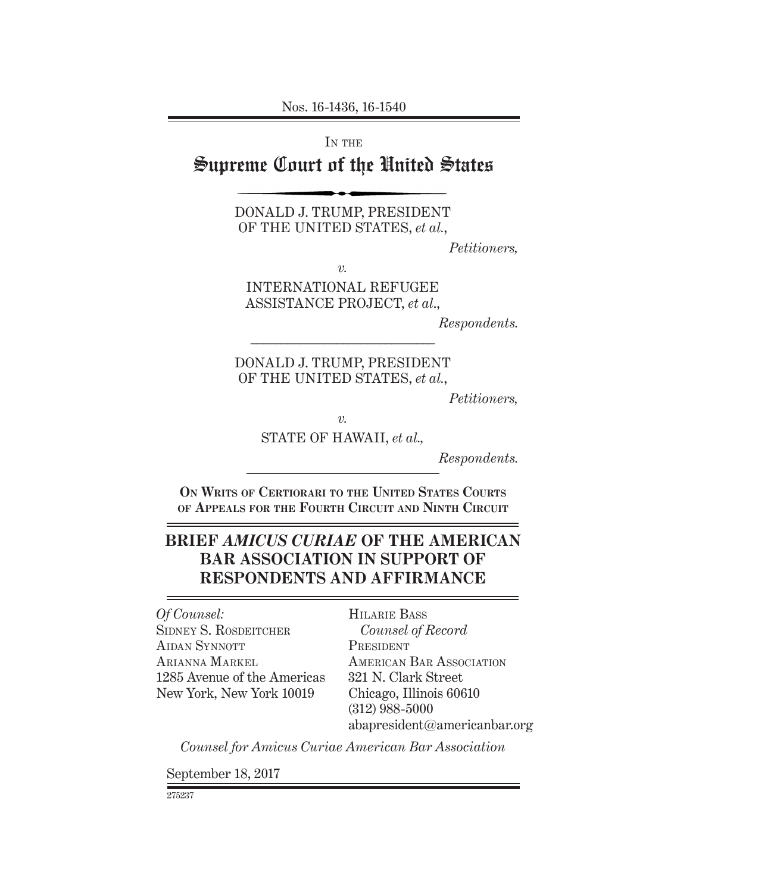Nos. 16-1436, 16-1540

IN THE

# Supreme Court of the United States

DONALD J. TRUMP, PRESIDENT OF THE UNITED STATES, *et al.*,

*Petitioners,*

*v.*

INTERNATIONAL REFUGEE ASSISTANCE PROJECT, *et al*.,

*Respondents.*

DONALD J. TRUMP, PRESIDENT OF THE UNITED STATES, *et al.*,

*––––––––––––––––––––––––––––––*

*Petitioners,*

*v.*

STATE OF HAWAII, *et al.,*

*Respondents.*

**On Writs of Certiorari to the United States Courts of Appeals for the Fourth Circuit and Ninth Circuit**

# **BRIEF** *AMICUS CURIAE* **OF THE AMERICAN BAR ASSOCIATION IN SUPPORT OF RESPONDENTS AND AFFIRMANCE**

*Of Counsel:* SIDNEY S. ROSDEITCHER AIDAN SYNNOTT Arianna Markel 1285 Avenue of the Americas New York, New York 10019

Hilarie Bass *Counsel of Record* **PRESIDENT** American Bar Association 321 N. Clark Street Chicago, Illinois 60610 (312) 988-5000 abapresident@americanbar.org

*Counsel for Amicus Curiae American Bar Association*

September 18, 2017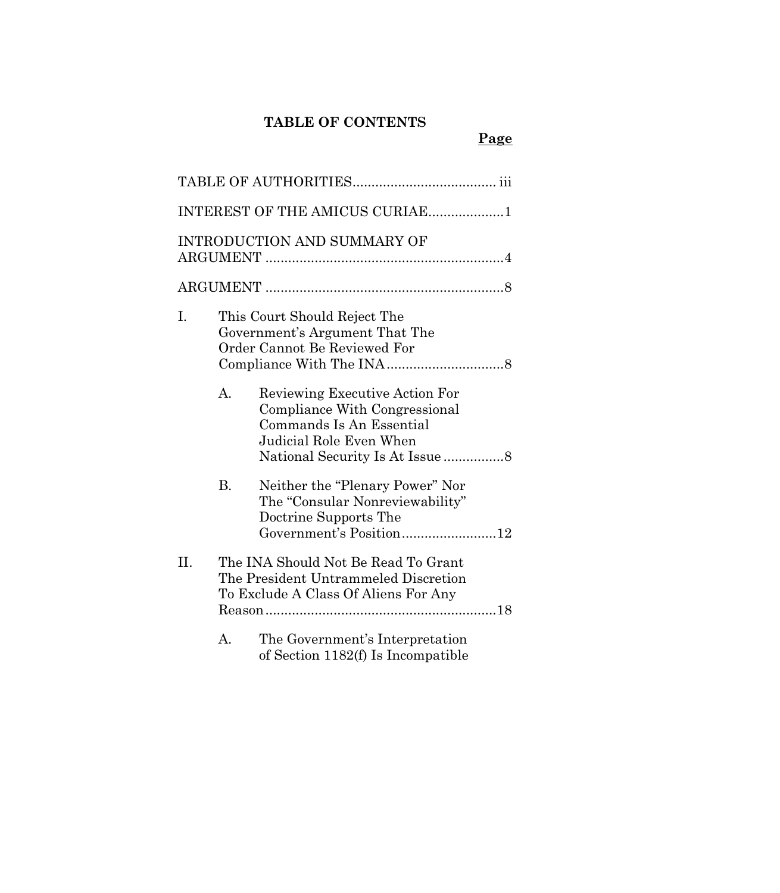# **TABLE OF CONTENTS**

# **Page**

|     |           | INTEREST OF THE AMICUS CURIAE1                                                                                                                             |  |
|-----|-----------|------------------------------------------------------------------------------------------------------------------------------------------------------------|--|
|     |           | <b>INTRODUCTION AND SUMMARY OF</b>                                                                                                                         |  |
|     |           |                                                                                                                                                            |  |
| I.  |           | This Court Should Reject The<br>Government's Argument That The<br>Order Cannot Be Reviewed For                                                             |  |
|     | A.        | Reviewing Executive Action For<br>Compliance With Congressional<br>Commands Is An Essential<br>Judicial Role Even When<br>National Security Is At Issue  8 |  |
|     | <b>B.</b> | Neither the "Plenary Power" Nor<br>The "Consular Nonreviewability"<br>Doctrine Supports The<br>Government's Position12                                     |  |
| II. |           | The INA Should Not Be Read To Grant<br>The President Untrammeled Discretion<br>To Exclude A Class Of Aliens For Any                                        |  |
|     | А.        | The Government's Interpretation<br>of Section 1182(f) Is Incompatible                                                                                      |  |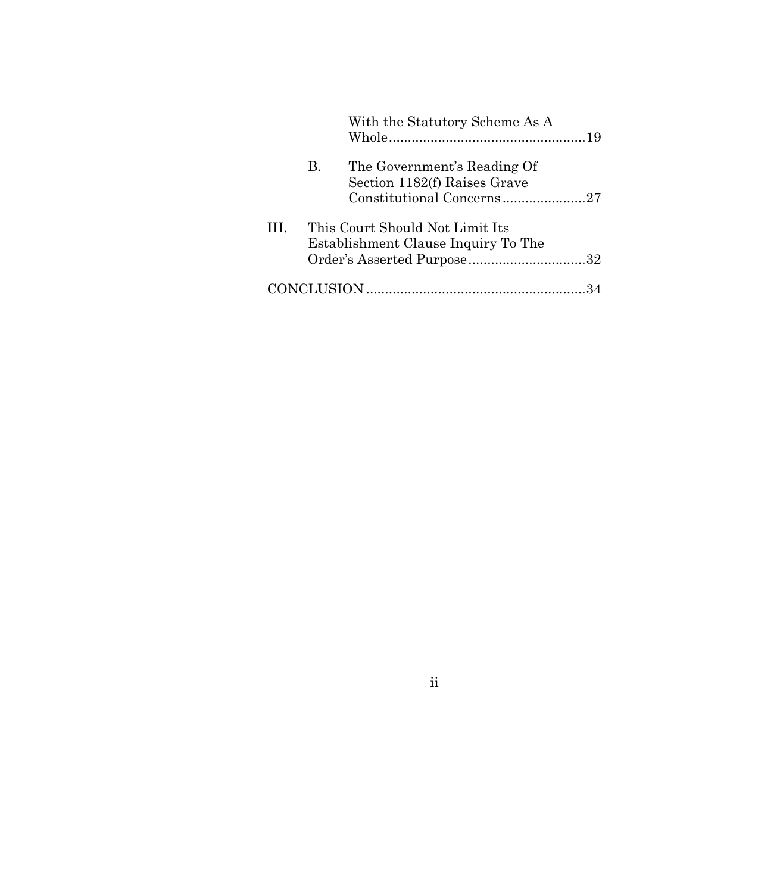|    |    | With the Statutory Scheme As A                                                                       |  |
|----|----|------------------------------------------------------------------------------------------------------|--|
|    | В. | The Government's Reading Of<br>Section 1182(f) Raises Grave<br>Constitutional Concerns27             |  |
| Ш. |    | This Court Should Not Limit Its<br>Establishment Clause Inquiry To The<br>Order's Asserted Purpose32 |  |
|    |    |                                                                                                      |  |

ii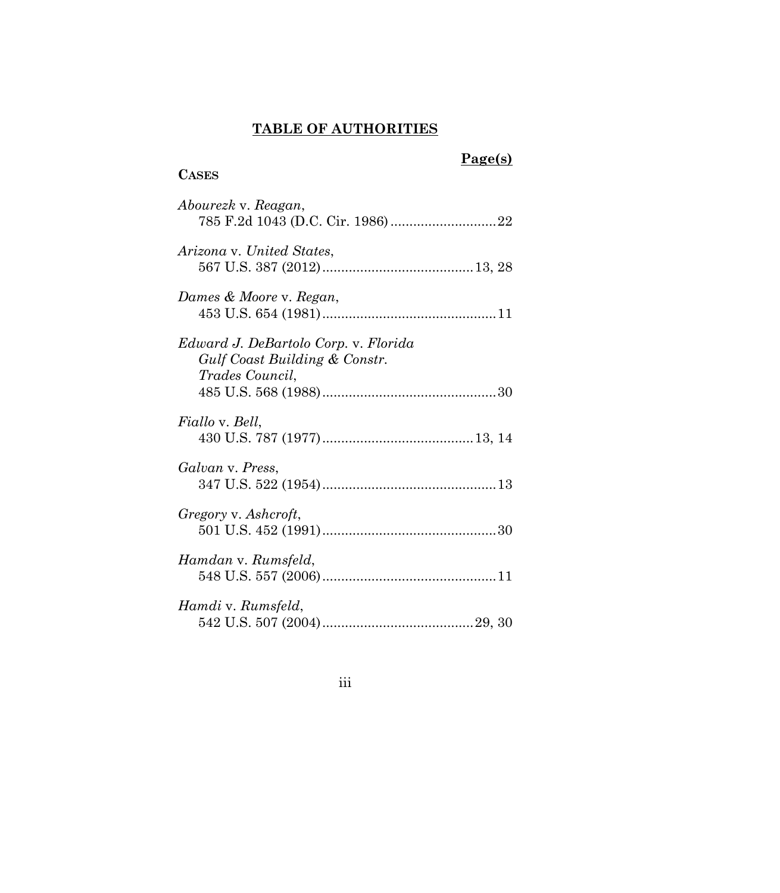# **TABLE OF AUTHORITIES**

# <span id="page-3-0"></span>**CASES**

# **Page(s)**

| Abourezk v. Reagan,                                                                             |
|-------------------------------------------------------------------------------------------------|
| Arizona v. United States,                                                                       |
| Dames & Moore v. Regan,                                                                         |
| Edward J. DeBartolo Corp. v. Florida<br>Gulf Coast Building & Constr.<br><i>Trades Council,</i> |
| <i>Fiallo</i> v. <i>Bell</i> ,                                                                  |
|                                                                                                 |
| Galvan v. Press,                                                                                |
| Gregory v. Ashcroft,                                                                            |
| Hamdan v. Rumsfeld,                                                                             |
| Hamdi v. Rumsfeld,                                                                              |

# iii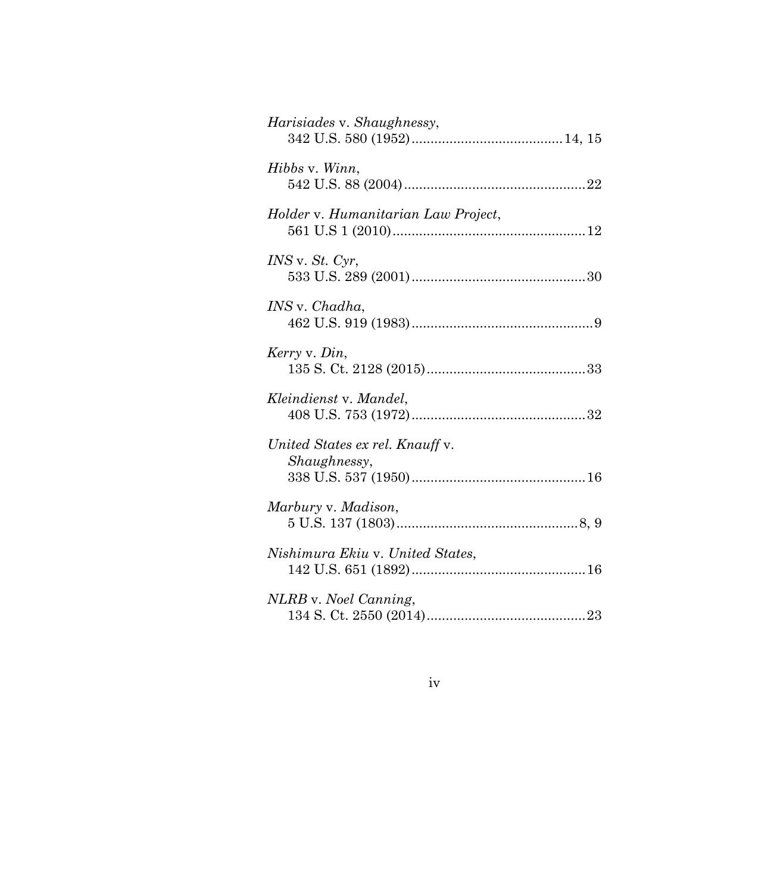| Harisiades v. Shaughnessy,                      |
|-------------------------------------------------|
| Hibbs v. Winn,                                  |
| Holder v. Humanitarian Law Project,             |
| $INS$ v. $St.$ $Cyr$ ,                          |
| <i>INS</i> v. <i>Chadha</i> ,                   |
| Kerry v. Din,                                   |
| Kleindienst v. Mandel,                          |
| United States ex rel. Knauff v.<br>Shaughnessy, |
| Marbury v. Madison,                             |
| Nishimura Ekiu v. United States,                |
| NLRB v. Noel Canning,                           |

## iv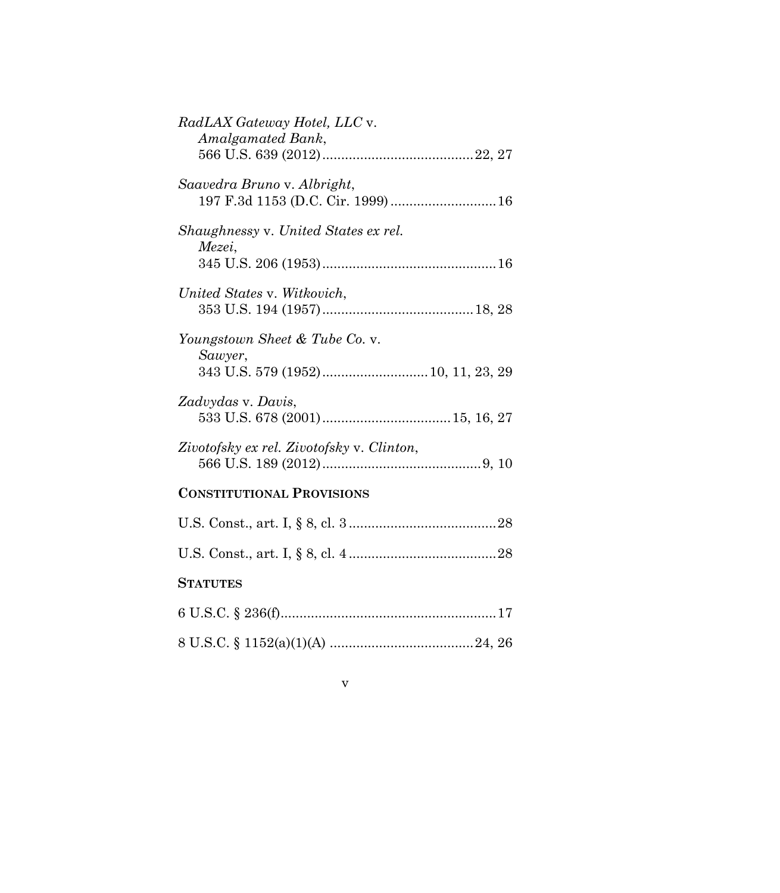| RadLAX Gateway Hotel, LLC v.<br>Amalgamated Bank,                 |
|-------------------------------------------------------------------|
| Saavedra Bruno v. Albright,<br>197 F.3d 1153 (D.C. Cir. 1999)  16 |
| Shaughnessy v. United States ex rel.<br>Mezei,                    |
|                                                                   |
| United States v. Witkovich,                                       |
| Youngstown Sheet & Tube Co. v.                                    |
| Sawyer,<br>343 U.S. 579 (1952) 10, 11, 23, 29                     |
| Zadvydas v. Davis,                                                |
| Zivotofsky ex rel. Zivotofsky v. Clinton,                         |
| <b>CONSTITUTIONAL PROVISIONS</b>                                  |
|                                                                   |
|                                                                   |
| <b>STATUTES</b>                                                   |
|                                                                   |
|                                                                   |

## v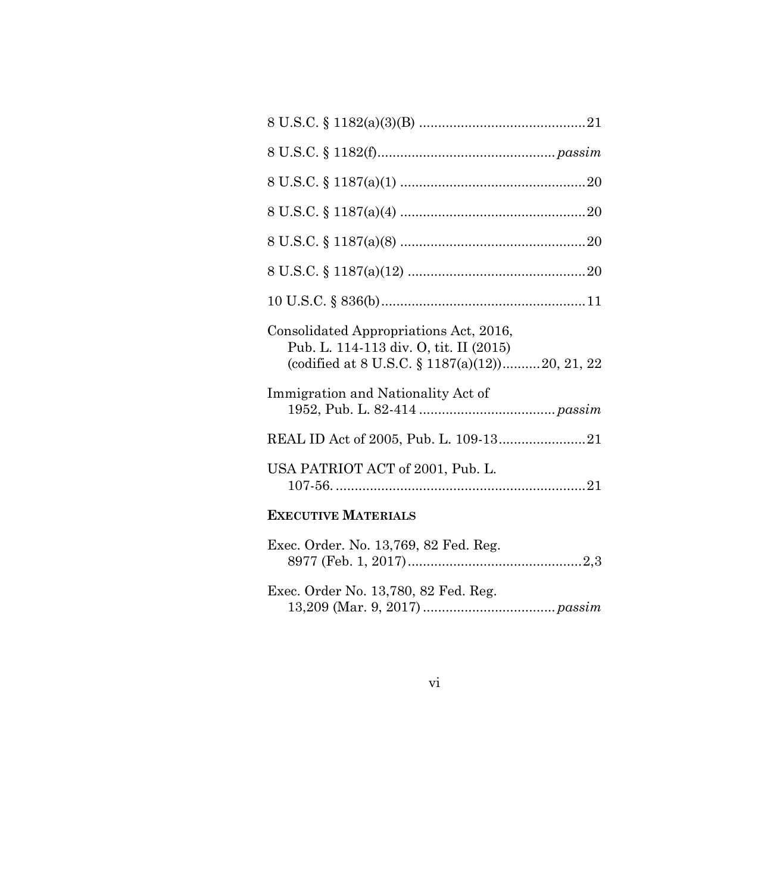| Consolidated Appropriations Act, 2016,<br>Pub. L. 114-113 div. O, tit. II (2015)<br>(codified at 8 U.S.C. § 1187(a)(12))20, 21, 22 |
|------------------------------------------------------------------------------------------------------------------------------------|
| Immigration and Nationality Act of                                                                                                 |
|                                                                                                                                    |
| USA PATRIOT ACT of 2001, Pub. L.                                                                                                   |
|                                                                                                                                    |

# **EXECUTIVE MATERIALS**

| Exec. Order. No. 13,769, 82 Fed. Reg. |  |
|---------------------------------------|--|
|                                       |  |
|                                       |  |
| Exec. Order No. 13,780, 82 Fed. Reg.  |  |
|                                       |  |
|                                       |  |

## vi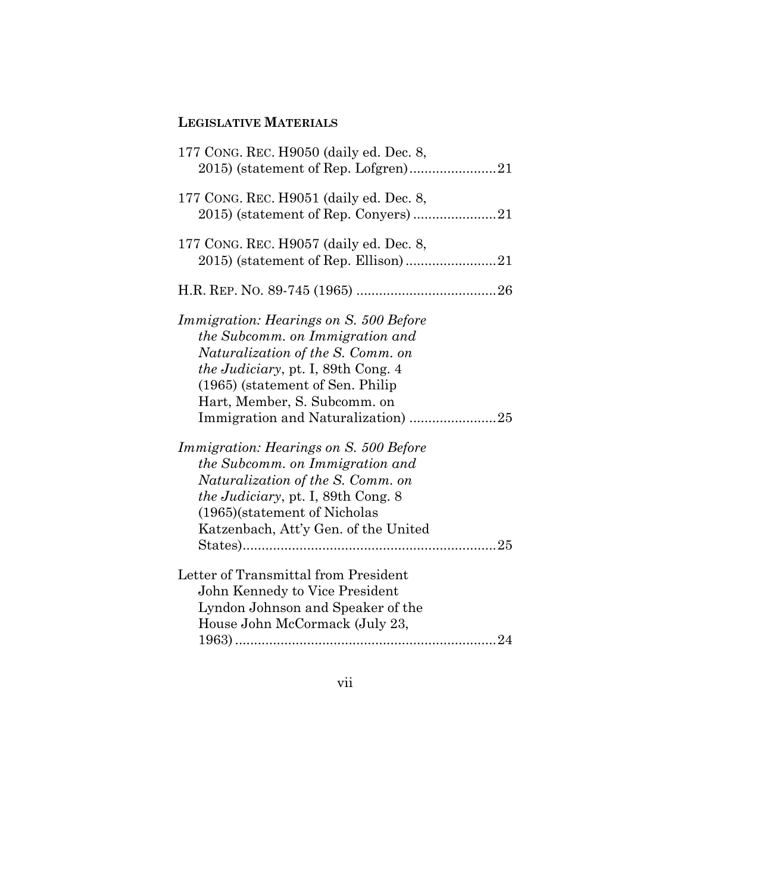# **LEGISLATIVE MATERIALS**

vii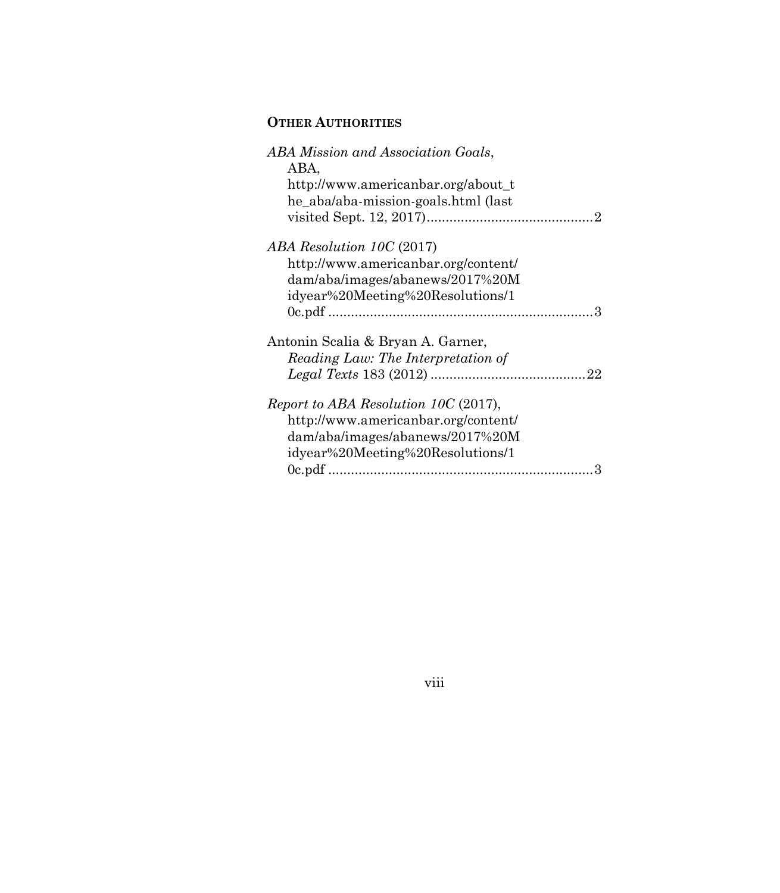# **OTHER AUTHORITIES**

viii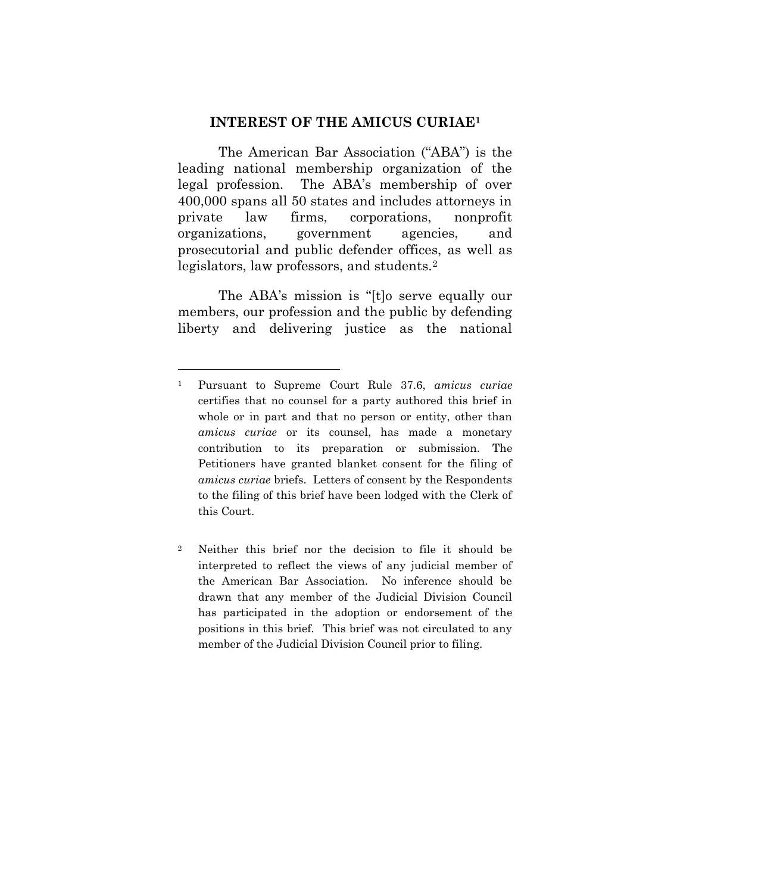#### **INTEREST OF THE AMICUS CURIAE<sup>1</sup>**

<span id="page-9-0"></span>The American Bar Association ("ABA") is the leading national membership organization of the legal profession. The ABA's membership of over 400,000 spans all 50 states and includes attorneys in private law firms, corporations, nonprofit organizations, government agencies, and prosecutorial and public defender offices, as well as legislators, law professors, and students.<sup>2</sup>

The ABA's mission is "[t]o serve equally our members, our profession and the public by defending liberty and delivering justice as the national

<sup>1</sup> Pursuant to Supreme Court Rule 37.6, *amicus curiae* certifies that no counsel for a party authored this brief in whole or in part and that no person or entity, other than *amicus curiae* or its counsel, has made a monetary contribution to its preparation or submission. The Petitioners have granted blanket consent for the filing of *amicus curiae* briefs. Letters of consent by the Respondents to the filing of this brief have been lodged with the Clerk of this Court.

<sup>2</sup> Neither this brief nor the decision to file it should be interpreted to reflect the views of any judicial member of the American Bar Association. No inference should be drawn that any member of the Judicial Division Council has participated in the adoption or endorsement of the positions in this brief. This brief was not circulated to any member of the Judicial Division Council prior to filing.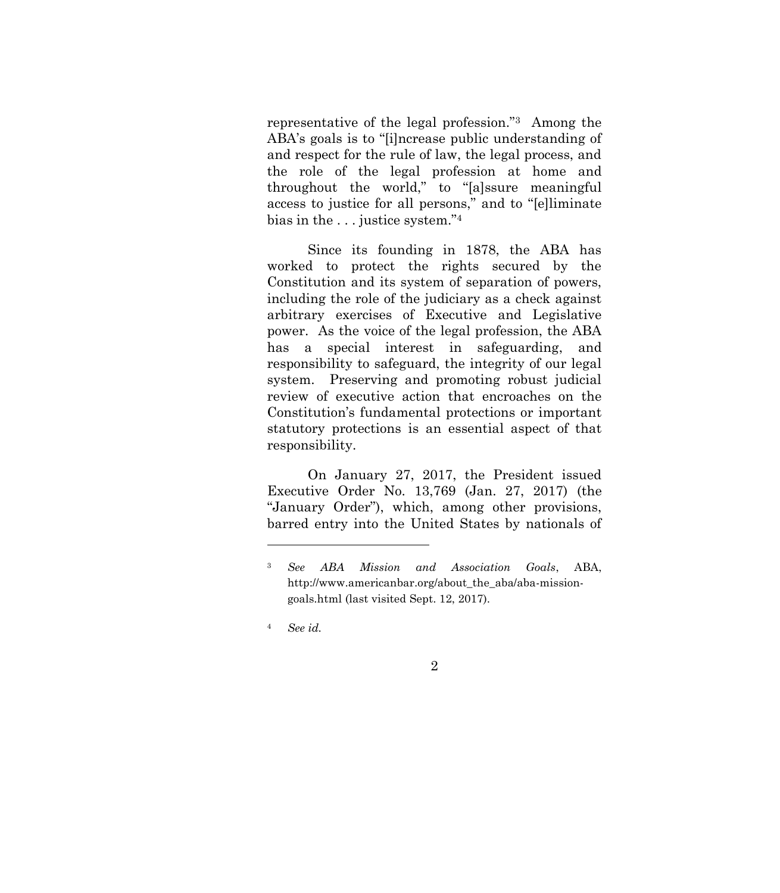representative of the legal profession."3 Among the ABA's goals is to "[i]ncrease public understanding of and respect for the rule of law, the legal process, and the role of the legal profession at home and throughout the world," to "[a]ssure meaningful access to justice for all persons," and to "[e]liminate bias in the . . . justice system."<sup>4</sup>

Since its founding in 1878, the ABA has worked to protect the rights secured by the Constitution and its system of separation of powers, including the role of the judiciary as a check against arbitrary exercises of Executive and Legislative power. As the voice of the legal profession, the ABA has a special interest in safeguarding, and responsibility to safeguard, the integrity of our legal system. Preserving and promoting robust judicial review of executive action that encroaches on the Constitution's fundamental protections or important statutory protections is an essential aspect of that responsibility.

On January 27, 2017, the President issued Executive Order No. 13,769 (Jan. 27, 2017) (the "January Order"), which, among other provisions, barred entry into the United States by nationals of

<span id="page-10-0"></span><sup>3</sup> *See ABA Mission and Association Goals*, ABA, http://www.americanbar.org/about\_the\_aba/aba-missiongoals.html (last visited Sept. 12, 2017).

<sup>4</sup> *See id.*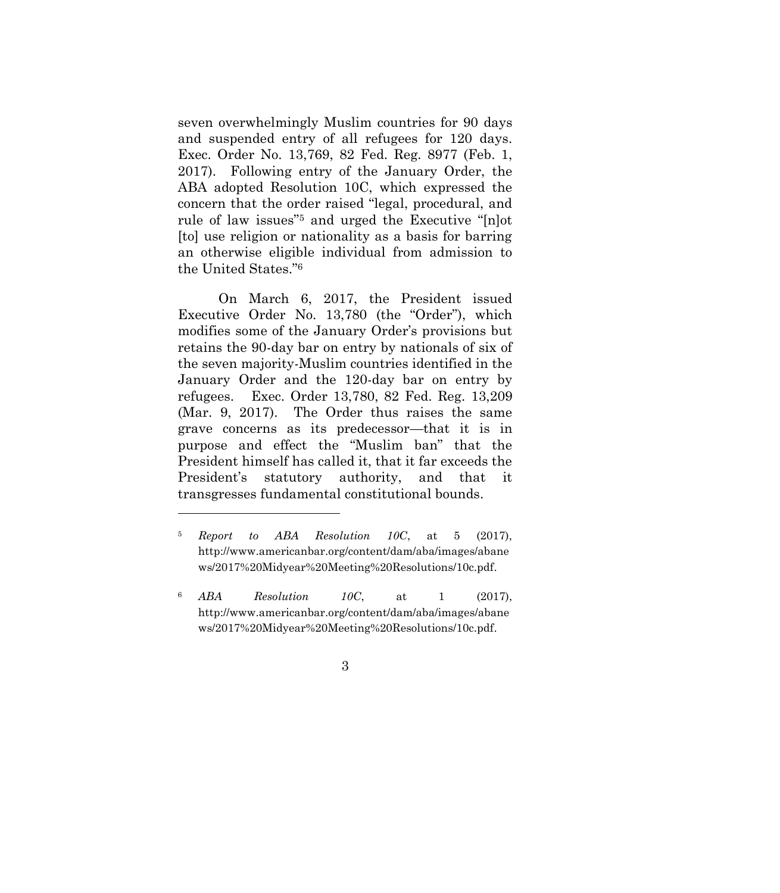seven overwhelmingly Muslim countries for 90 days and suspended entry of all refugees for 120 days. Exec. Order No. 13,769, 82 Fed. Reg. 8977 (Feb. 1, 2017). Following entry of the January Order, the ABA adopted Resolution 10C, which expressed the concern that the order raised "legal, procedural, and rule of law issues" <sup>5</sup> and urged the Executive "[n]ot [to] use religion or nationality as a basis for barring an otherwise eligible individual from admission to the United States."<sup>6</sup>

On March 6, 2017, the President issued Executive Order No. 13,780 (the "Order"), which modifies some of the January Order's provisions but retains the 90-day bar on entry by nationals of six of the seven majority-Muslim countries identified in the January Order and the 120-day bar on entry by refugees. Exec. Order 13,780, 82 Fed. Reg. 13,209 (Mar. 9, 2017). The Order thus raises the same grave concerns as its predecessor—that it is in purpose and effect the "Muslim ban" that the President himself has called it, that it far exceeds the President's statutory authority, and that it transgresses fundamental constitutional bounds.

<span id="page-11-1"></span><sup>5</sup> *Report to ABA Resolution 10C*, at 5 (2017), http://www.americanbar.org/content/dam/aba/images/abane ws/2017%20Midyear%20Meeting%20Resolutions/10c.pdf.

<span id="page-11-0"></span><sup>6</sup> *ABA Resolution 10C*, at 1 (2017), http://www.americanbar.org/content/dam/aba/images/abane ws/2017%20Midyear%20Meeting%20Resolutions/10c.pdf.

<sup>3</sup>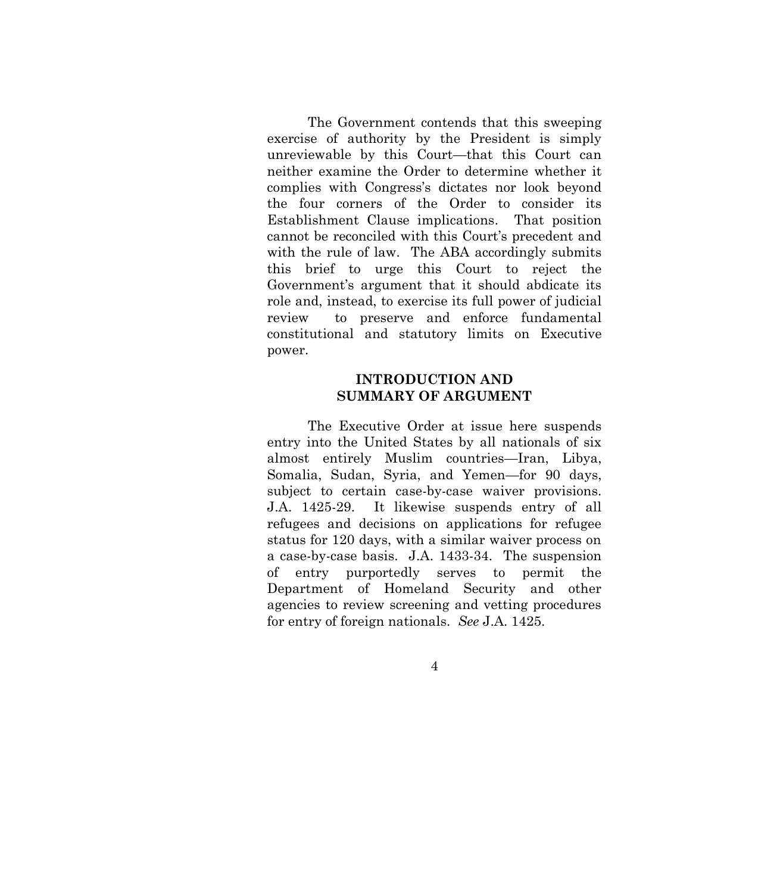The Government contends that this sweeping exercise of authority by the President is simply unreviewable by this Court—that this Court can neither examine the Order to determine whether it complies with Congress's dictates nor look beyond the four corners of the Order to consider its Establishment Clause implications. That position cannot be reconciled with this Court's precedent and with the rule of law. The ABA accordingly submits this brief to urge this Court to reject the Government's argument that it should abdicate its role and, instead, to exercise its full power of judicial review to preserve and enforce fundamental constitutional and statutory limits on Executive power.

### **INTRODUCTION AND SUMMARY OF ARGUMENT**

<span id="page-12-0"></span>The Executive Order at issue here suspends entry into the United States by all nationals of six almost entirely Muslim countries—Iran, Libya, Somalia, Sudan, Syria, and Yemen—for 90 days, subject to certain case-by-case waiver provisions. J.A. 1425-29. It likewise suspends entry of all refugees and decisions on applications for refugee status for 120 days, with a similar waiver process on a case-by-case basis. J.A. 1433-34. The suspension of entry purportedly serves to permit the Department of Homeland Security and other agencies to review screening and vetting procedures for entry of foreign nationals. *See* J.A. 1425.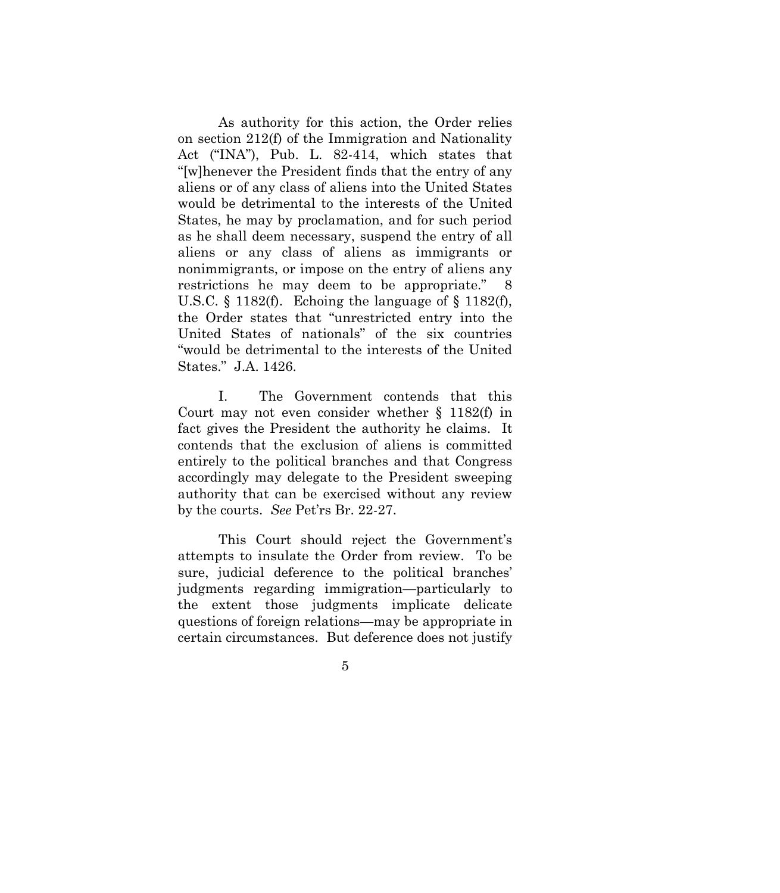<span id="page-13-0"></span>As authority for this action, the Order relies on section 212(f) of the Immigration and Nationality Act ("INA"), Pub. L. 82-414, which states that "[w]henever the President finds that the entry of any aliens or of any class of aliens into the United States would be detrimental to the interests of the United States, he may by proclamation, and for such period as he shall deem necessary, suspend the entry of all aliens or any class of aliens as immigrants or nonimmigrants, or impose on the entry of aliens any restrictions he may deem to be appropriate." 8 U.S.C. § 1182(f). Echoing the language of § 1182(f), the Order states that "unrestricted entry into the United States of nationals" of the six countries "would be detrimental to the interests of the United States." J.A. 1426.

I. The Government contends that this Court may not even consider whether § 1182(f) in fact gives the President the authority he claims. It contends that the exclusion of aliens is committed entirely to the political branches and that Congress accordingly may delegate to the President sweeping authority that can be exercised without any review by the courts. *See* Pet'rs Br. 22-27.

This Court should reject the Government's attempts to insulate the Order from review. To be sure, judicial deference to the political branches' judgments regarding immigration—particularly to the extent those judgments implicate delicate questions of foreign relations—may be appropriate in certain circumstances. But deference does not justify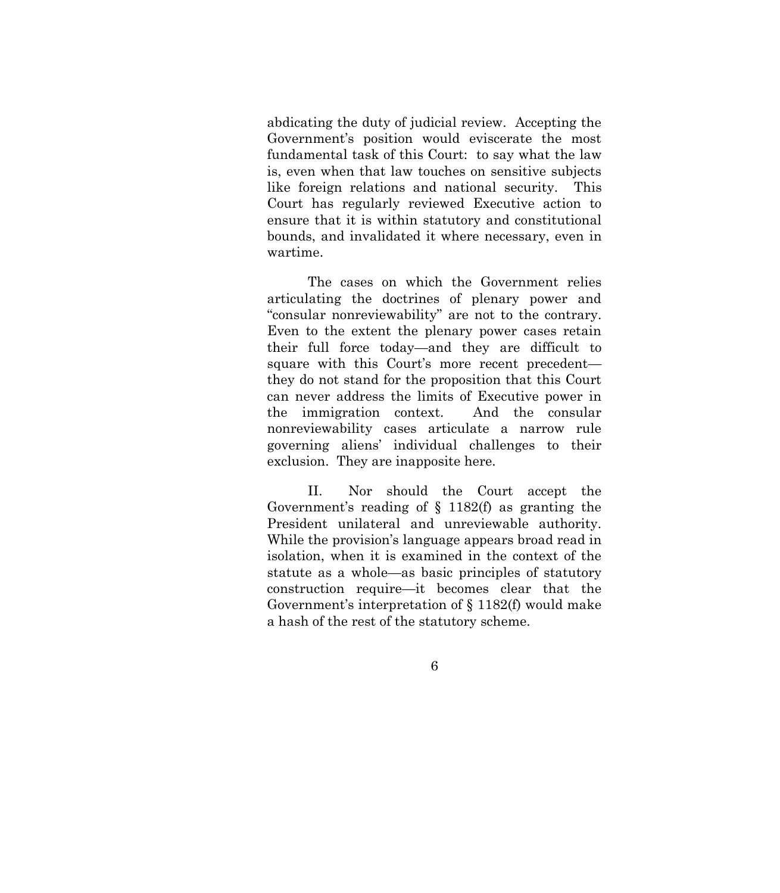abdicating the duty of judicial review. Accepting the Government's position would eviscerate the most fundamental task of this Court: to say what the law is, even when that law touches on sensitive subjects like foreign relations and national security. This Court has regularly reviewed Executive action to ensure that it is within statutory and constitutional bounds, and invalidated it where necessary, even in wartime.

The cases on which the Government relies articulating the doctrines of plenary power and "consular nonreviewability" are not to the contrary. Even to the extent the plenary power cases retain their full force today—and they are difficult to square with this Court's more recent precedent they do not stand for the proposition that this Court can never address the limits of Executive power in the immigration context. And the consular nonreviewability cases articulate a narrow rule governing aliens' individual challenges to their exclusion. They are inapposite here.

II. Nor should the Court accept the Government's reading of § 1182(f) as granting the President unilateral and unreviewable authority. While the provision's language appears broad read in isolation, when it is examined in the context of the statute as a whole—as basic principles of statutory construction require—it becomes clear that the Government's interpretation of § 1182(f) would make a hash of the rest of the statutory scheme.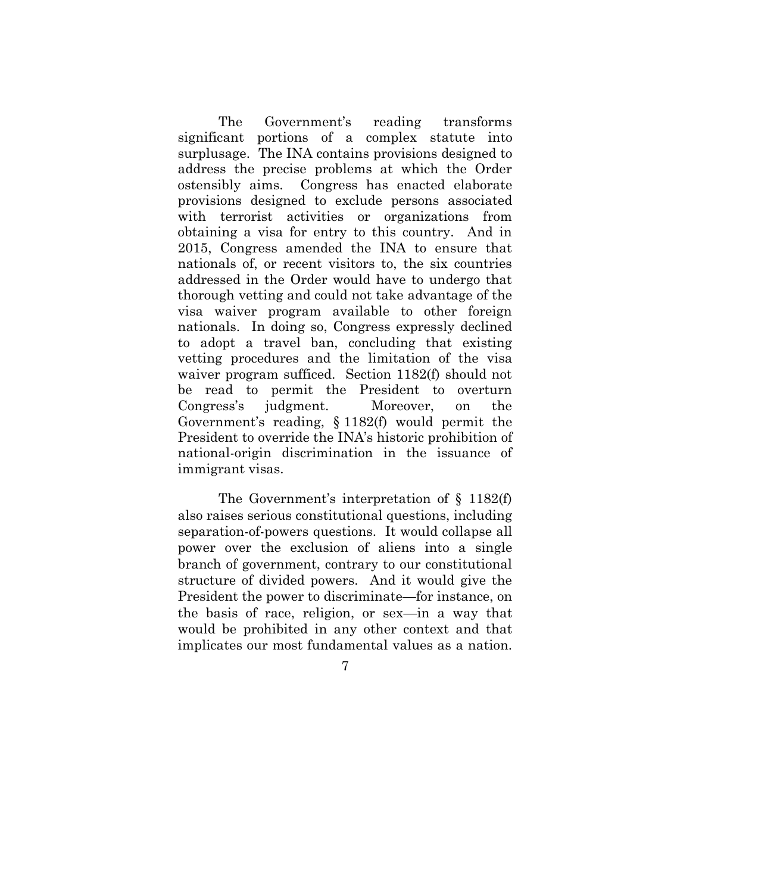The Government's reading transforms significant portions of a complex statute into surplusage. The INA contains provisions designed to address the precise problems at which the Order ostensibly aims. Congress has enacted elaborate provisions designed to exclude persons associated with terrorist activities or organizations from obtaining a visa for entry to this country. And in 2015, Congress amended the INA to ensure that nationals of, or recent visitors to, the six countries addressed in the Order would have to undergo that thorough vetting and could not take advantage of the visa waiver program available to other foreign nationals. In doing so, Congress expressly declined to adopt a travel ban, concluding that existing vetting procedures and the limitation of the visa waiver program sufficed. Section 1182(f) should not be read to permit the President to overturn Congress's judgment. Moreover, on the Government's reading, § 1182(f) would permit the President to override the INA's historic prohibition of national-origin discrimination in the issuance of immigrant visas.

The Government's interpretation of § 1182(f) also raises serious constitutional questions, including separation-of-powers questions. It would collapse all power over the exclusion of aliens into a single branch of government, contrary to our constitutional structure of divided powers. And it would give the President the power to discriminate—for instance, on the basis of race, religion, or sex—in a way that would be prohibited in any other context and that implicates our most fundamental values as a nation.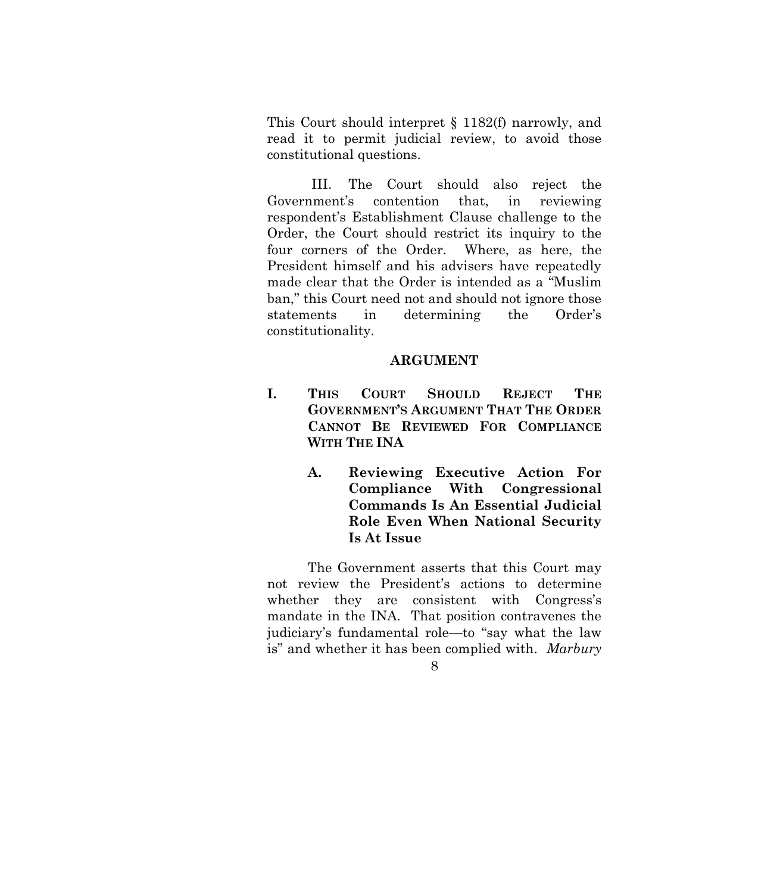This Court should interpret § 1182(f) narrowly, and read it to permit judicial review, to avoid those constitutional questions.

III. The Court should also reject the Government's contention that, in reviewing respondent's Establishment Clause challenge to the Order, the Court should restrict its inquiry to the four corners of the Order. Where, as here, the President himself and his advisers have repeatedly made clear that the Order is intended as a "Muslim ban," this Court need not and should not ignore those statements in determining the Order's constitutionality.

### **ARGUMENT**

- <span id="page-16-2"></span><span id="page-16-1"></span><span id="page-16-0"></span>**I. THIS COURT SHOULD REJECT THE GOVERNMENT'S ARGUMENT THAT THE ORDER CANNOT BE REVIEWED FOR COMPLIANCE WITH THE INA**
	- **A. Reviewing Executive Action For Compliance With Congressional Commands Is An Essential Judicial Role Even When National Security Is At Issue**

<span id="page-16-3"></span>The Government asserts that this Court may not review the President's actions to determine whether they are consistent with Congress's mandate in the INA. That position contravenes the judiciary's fundamental role—to "say what the law is" and whether it has been complied with. *Marbury*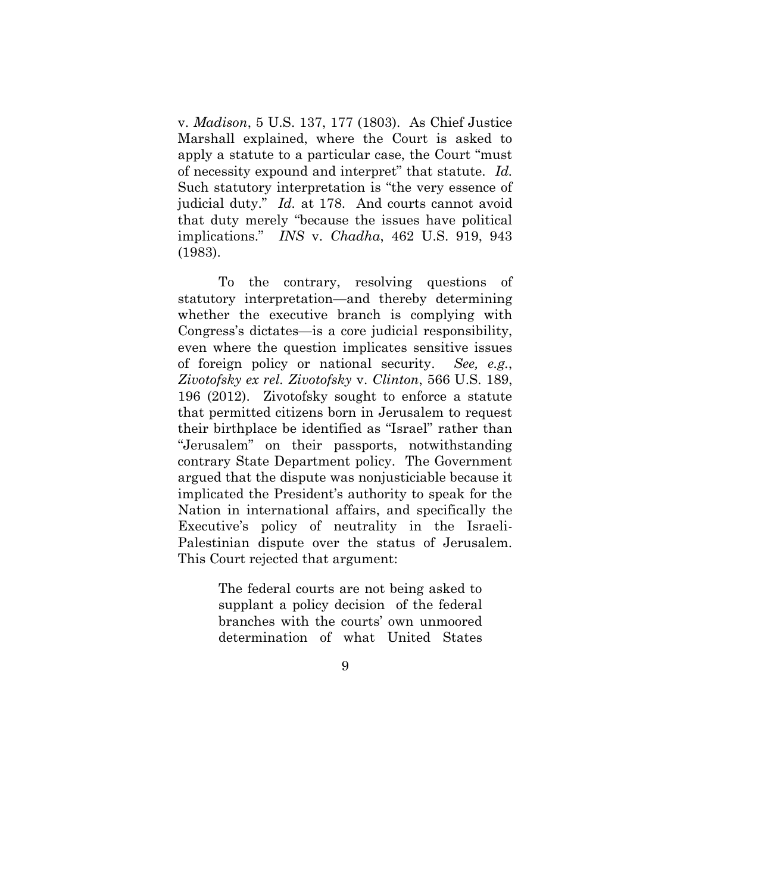v. *Madison*, 5 U.S. 137, 177 (1803). As Chief Justice Marshall explained, where the Court is asked to apply a statute to a particular case, the Court "must of necessity expound and interpret" that statute. *Id.* Such statutory interpretation is "the very essence of judicial duty." *Id.* at 178. And courts cannot avoid that duty merely "because the issues have political implications." *INS* v. *Chadha*, 462 U.S. 919, 943 (1983).

<span id="page-17-1"></span><span id="page-17-0"></span>To the contrary, resolving questions of statutory interpretation—and thereby determining whether the executive branch is complying with Congress's dictates—is a core judicial responsibility, even where the question implicates sensitive issues of foreign policy or national security. *See, e.g.*, *Zivotofsky ex rel. Zivotofsky* v. *Clinton*, 566 U.S. 189, 196 (2012). Zivotofsky sought to enforce a statute that permitted citizens born in Jerusalem to request their birthplace be identified as "Israel" rather than "Jerusalem" on their passports, notwithstanding contrary State Department policy. The Government argued that the dispute was nonjusticiable because it implicated the President's authority to speak for the Nation in international affairs, and specifically the Executive's policy of neutrality in the Israeli-Palestinian dispute over the status of Jerusalem. This Court rejected that argument:

> The federal courts are not being asked to supplant a policy decision of the federal branches with the courts' own unmoored determination of what United States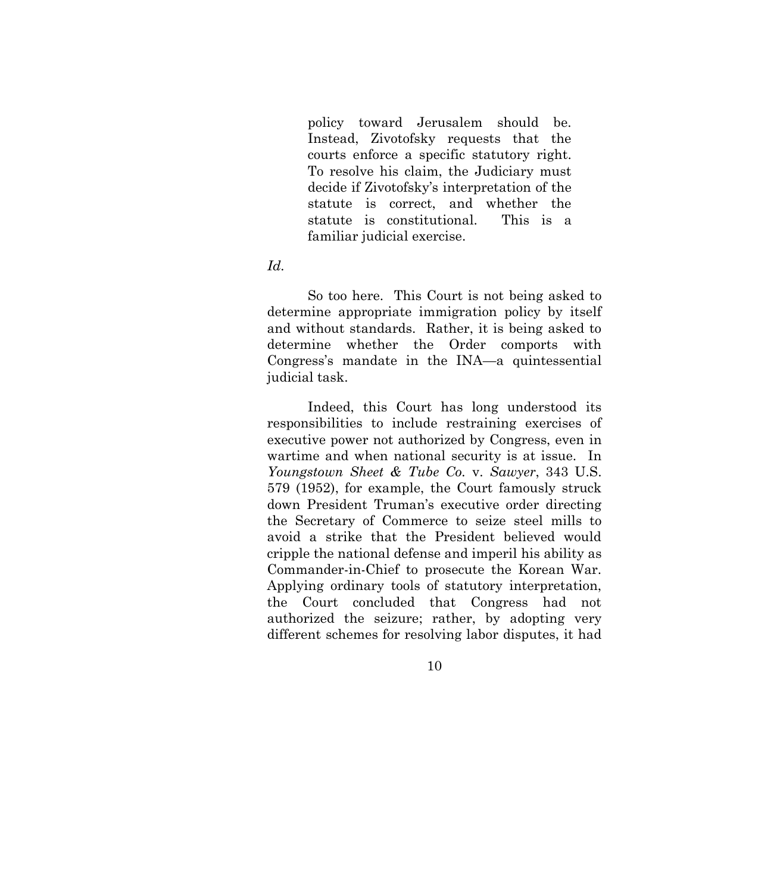policy toward Jerusalem should be. Instead, Zivotofsky requests that the courts enforce a specific statutory right. To resolve his claim, the Judiciary must decide if Zivotofsky's interpretation of the statute is correct, and whether the statute is constitutional. This is a familiar judicial exercise.

#### *Id.*

So too here. This Court is not being asked to determine appropriate immigration policy by itself and without standards. Rather, it is being asked to determine whether the Order comports with Congress's mandate in the INA—a quintessential judicial task.

<span id="page-18-0"></span>Indeed, this Court has long understood its responsibilities to include restraining exercises of executive power not authorized by Congress, even in wartime and when national security is at issue. In *Youngstown Sheet & Tube Co.* v. *Sawyer*, 343 U.S. 579 (1952), for example, the Court famously struck down President Truman's executive order directing the Secretary of Commerce to seize steel mills to avoid a strike that the President believed would cripple the national defense and imperil his ability as Commander-in-Chief to prosecute the Korean War. Applying ordinary tools of statutory interpretation, the Court concluded that Congress had not authorized the seizure; rather, by adopting very different schemes for resolving labor disputes, it had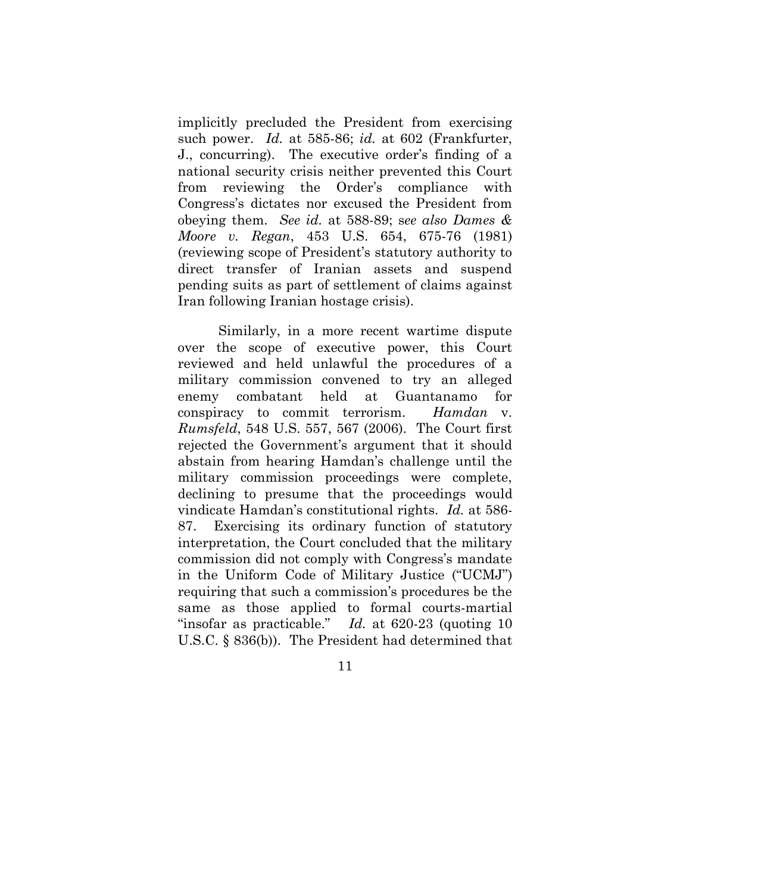<span id="page-19-0"></span>implicitly precluded the President from exercising such power. *Id.* at 585-86; *id.* at 602 (Frankfurter, J., concurring). The executive order's finding of a national security crisis neither prevented this Court from reviewing the Order's compliance with Congress's dictates nor excused the President from obeying them. *See id.* at 588-89; s*ee also Dames & Moore v. Regan*, 453 U.S. 654, 675-76 (1981) (reviewing scope of President's statutory authority to direct transfer of Iranian assets and suspend pending suits as part of settlement of claims against Iran following Iranian hostage crisis).

<span id="page-19-2"></span><span id="page-19-1"></span>Similarly, in a more recent wartime dispute over the scope of executive power, this Court reviewed and held unlawful the procedures of a military commission convened to try an alleged enemy combatant held at Guantanamo for conspiracy to commit terrorism. *Hamdan* v. *Rumsfeld*, 548 U.S. 557, 567 (2006). The Court first rejected the Government's argument that it should abstain from hearing Hamdan's challenge until the military commission proceedings were complete, declining to presume that the proceedings would vindicate Hamdan's constitutional rights. *Id.* at 586- 87. Exercising its ordinary function of statutory interpretation, the Court concluded that the military commission did not comply with Congress's mandate in the Uniform Code of Military Justice ("UCMJ") requiring that such a commission's procedures be the same as those applied to formal courts-martial "insofar as practicable." *Id.* at 620-23 (quoting 10 U.S.C. § 836(b)). The President had determined that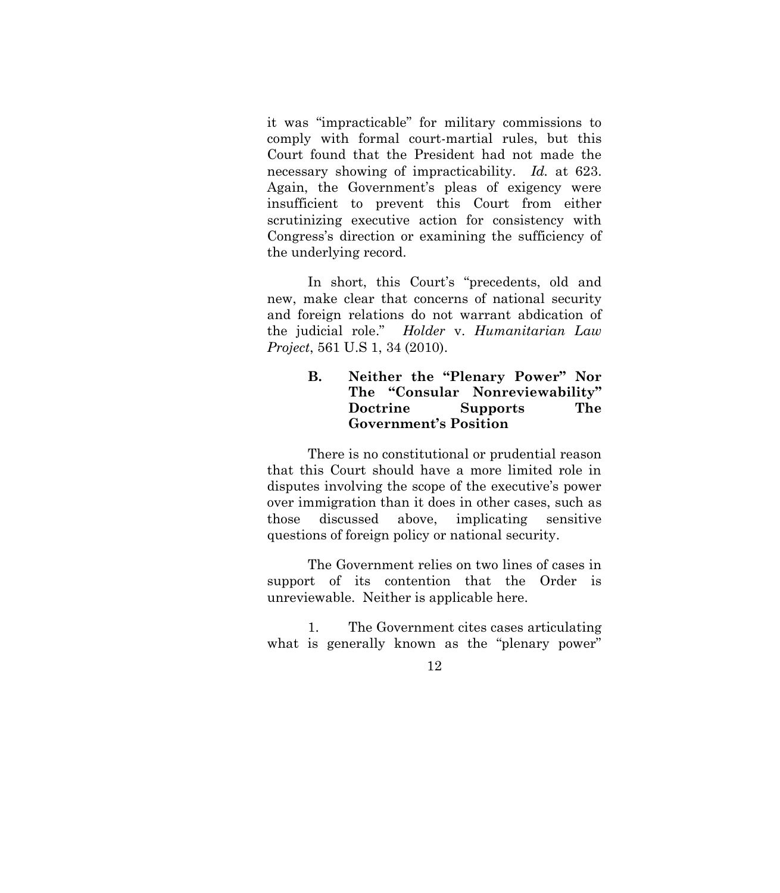it was "impracticable" for military commissions to comply with formal court-martial rules, but this Court found that the President had not made the necessary showing of impracticability. *Id.* at 623. Again, the Government's pleas of exigency were insufficient to prevent this Court from either scrutinizing executive action for consistency with Congress's direction or examining the sufficiency of the underlying record.

In short, this Court's "precedents, old and new, make clear that concerns of national security and foreign relations do not warrant abdication of the judicial role." *Holder* v. *Humanitarian Law Project*, 561 U.S 1, 34 (2010).

### <span id="page-20-1"></span><span id="page-20-0"></span>**B. Neither the "Plenary Power" Nor The "Consular Nonreviewability" Doctrine Supports The Government's Position**

There is no constitutional or prudential reason that this Court should have a more limited role in disputes involving the scope of the executive's power over immigration than it does in other cases, such as those discussed above, implicating sensitive questions of foreign policy or national security.

The Government relies on two lines of cases in support of its contention that the Order is unreviewable. Neither is applicable here.

1. The Government cites cases articulating what is generally known as the "plenary power"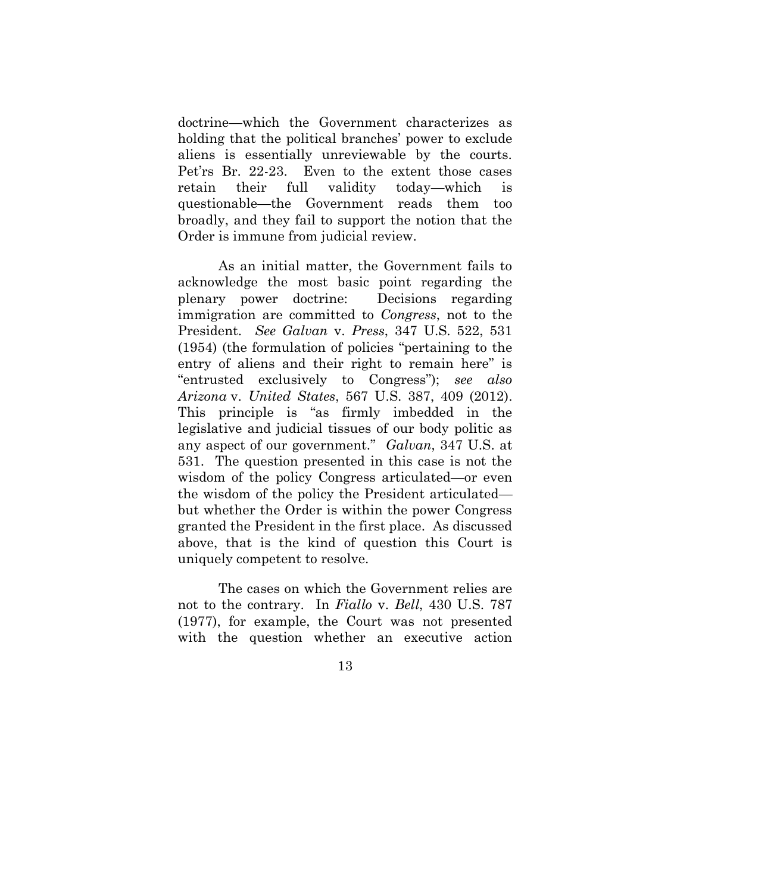doctrine—which the Government characterizes as holding that the political branches' power to exclude aliens is essentially unreviewable by the courts. Pet'rs Br. 22-23. Even to the extent those cases retain their full validity today—which is questionable—the Government reads them too broadly, and they fail to support the notion that the Order is immune from judicial review.

<span id="page-21-2"></span><span id="page-21-0"></span>As an initial matter, the Government fails to acknowledge the most basic point regarding the plenary power doctrine: Decisions regarding immigration are committed to *Congress*, not to the President. *See Galvan* v. *Press*, 347 U.S. 522, 531 (1954) (the formulation of policies "pertaining to the entry of aliens and their right to remain here" is "entrusted exclusively to Congress"); *see also Arizona* v. *United States*, 567 U.S. 387, 409 (2012). This principle is "as firmly imbedded in the legislative and judicial tissues of our body politic as any aspect of our government." *Galvan*, 347 U.S. at 531. The question presented in this case is not the wisdom of the policy Congress articulated—or even the wisdom of the policy the President articulated but whether the Order is within the power Congress granted the President in the first place. As discussed above, that is the kind of question this Court is uniquely competent to resolve.

<span id="page-21-1"></span>The cases on which the Government relies are not to the contrary. In *Fiallo* v. *Bell*, 430 U.S. 787 (1977), for example, the Court was not presented with the question whether an executive action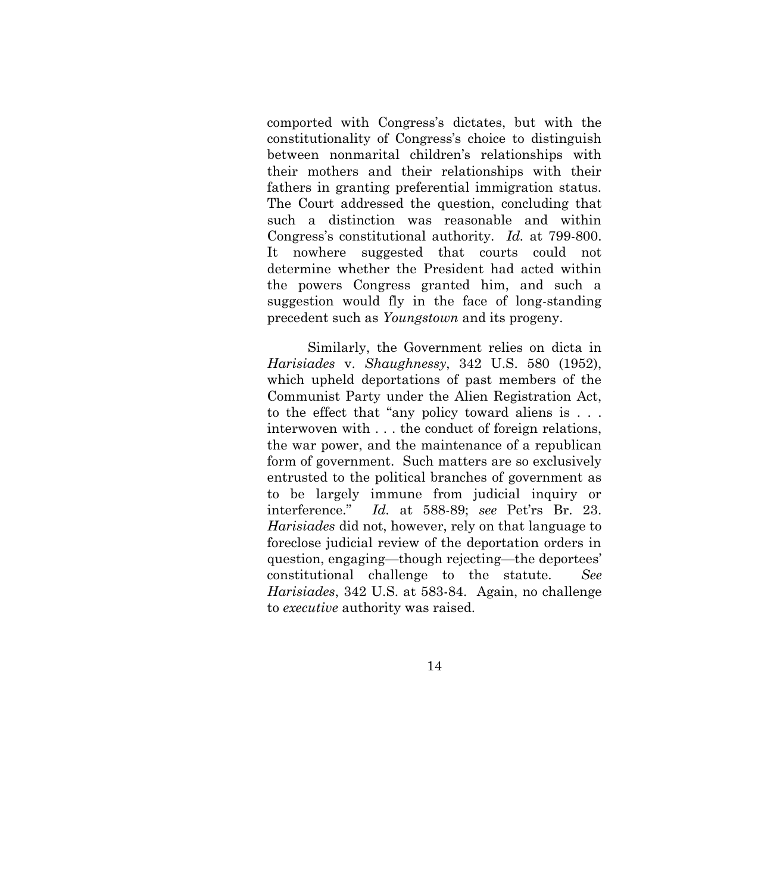comported with Congress's dictates, but with the constitutionality of Congress's choice to distinguish between nonmarital children's relationships with their mothers and their relationships with their fathers in granting preferential immigration status. The Court addressed the question, concluding that such a distinction was reasonable and within Congress's constitutional authority. *Id.* at 799-800. It nowhere suggested that courts could not determine whether the President had acted within the powers Congress granted him, and such a suggestion would fly in the face of long-standing precedent such as *Youngstown* and its progeny.

<span id="page-22-0"></span>Similarly, the Government relies on dicta in *Harisiades* v. *Shaughnessy*, 342 U.S. 580 (1952), which upheld deportations of past members of the Communist Party under the Alien Registration Act, to the effect that "any policy toward aliens is . . . interwoven with . . . the conduct of foreign relations, the war power, and the maintenance of a republican form of government. Such matters are so exclusively entrusted to the political branches of government as to be largely immune from judicial inquiry or interference." *Id.* at 588-89; *see* Pet'rs Br. 23. *Harisiades* did not, however, rely on that language to foreclose judicial review of the deportation orders in question, engaging—though rejecting—the deportees' constitutional challenge to the statute. *See Harisiades*, 342 U.S. at 583-84. Again, no challenge to *executive* authority was raised.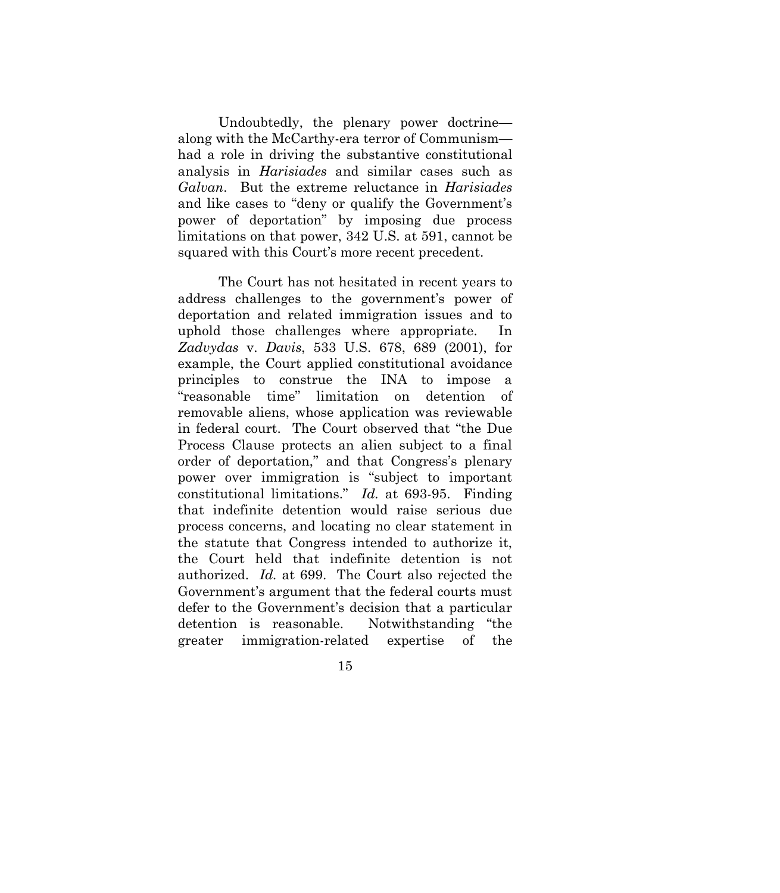Undoubtedly, the plenary power doctrine along with the McCarthy-era terror of Communism had a role in driving the substantive constitutional analysis in *Harisiades* and similar cases such as *Galvan*. But the extreme reluctance in *Harisiades* and like cases to "deny or qualify the Government's power of deportation" by imposing due process limitations on that power, 342 U.S. at 591, cannot be squared with this Court's more recent precedent.

<span id="page-23-1"></span><span id="page-23-0"></span>The Court has not hesitated in recent years to address challenges to the government's power of deportation and related immigration issues and to uphold those challenges where appropriate. In *Zadvydas* v. *Davis*, 533 U.S. 678, 689 (2001), for example, the Court applied constitutional avoidance principles to construe the INA to impose a "reasonable time" limitation on detention of removable aliens, whose application was reviewable in federal court. The Court observed that "the Due Process Clause protects an alien subject to a final order of deportation," and that Congress's plenary power over immigration is "subject to important constitutional limitations." *Id.* at 693-95. Finding that indefinite detention would raise serious due process concerns, and locating no clear statement in the statute that Congress intended to authorize it, the Court held that indefinite detention is not authorized. *Id.* at 699. The Court also rejected the Government's argument that the federal courts must defer to the Government's decision that a particular detention is reasonable. Notwithstanding "the greater immigration-related expertise of the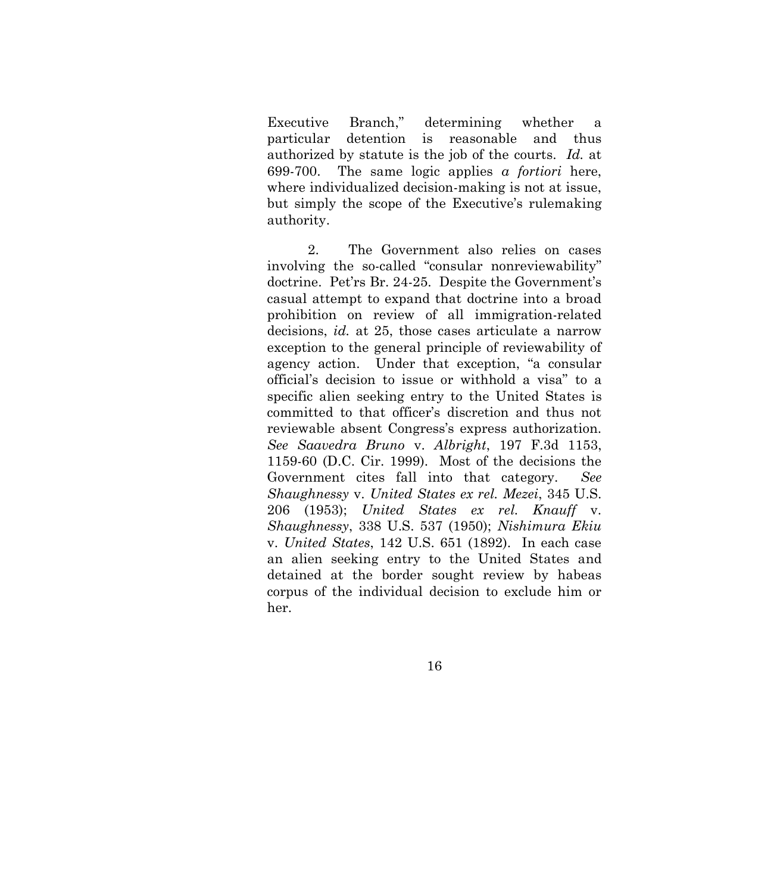Executive Branch," determining whether a particular detention is reasonable and thus authorized by statute is the job of the courts. *Id.* at 699-700. The same logic applies *a fortiori* here, where individualized decision-making is not at issue, but simply the scope of the Executive's rulemaking authority.

<span id="page-24-3"></span><span id="page-24-2"></span><span id="page-24-1"></span><span id="page-24-0"></span>2. The Government also relies on cases involving the so-called "consular nonreviewability" doctrine. Pet'rs Br. 24-25. Despite the Government's casual attempt to expand that doctrine into a broad prohibition on review of all immigration-related decisions, *id.* at 25, those cases articulate a narrow exception to the general principle of reviewability of agency action. Under that exception, "a consular official's decision to issue or withhold a visa" to a specific alien seeking entry to the United States is committed to that officer's discretion and thus not reviewable absent Congress's express authorization. *See Saavedra Bruno* v. *Albright*, 197 F.3d 1153, 1159-60 (D.C. Cir. 1999). Most of the decisions the Government cites fall into that category. *See Shaughnessy* v. *United States ex rel. Mezei*, 345 U.S. 206 (1953); *United States ex rel. Knauff* v. *Shaughnessy*, 338 U.S. 537 (1950); *Nishimura Ekiu*  v. *United States*, 142 U.S. 651 (1892). In each case an alien seeking entry to the United States and detained at the border sought review by habeas corpus of the individual decision to exclude him or her.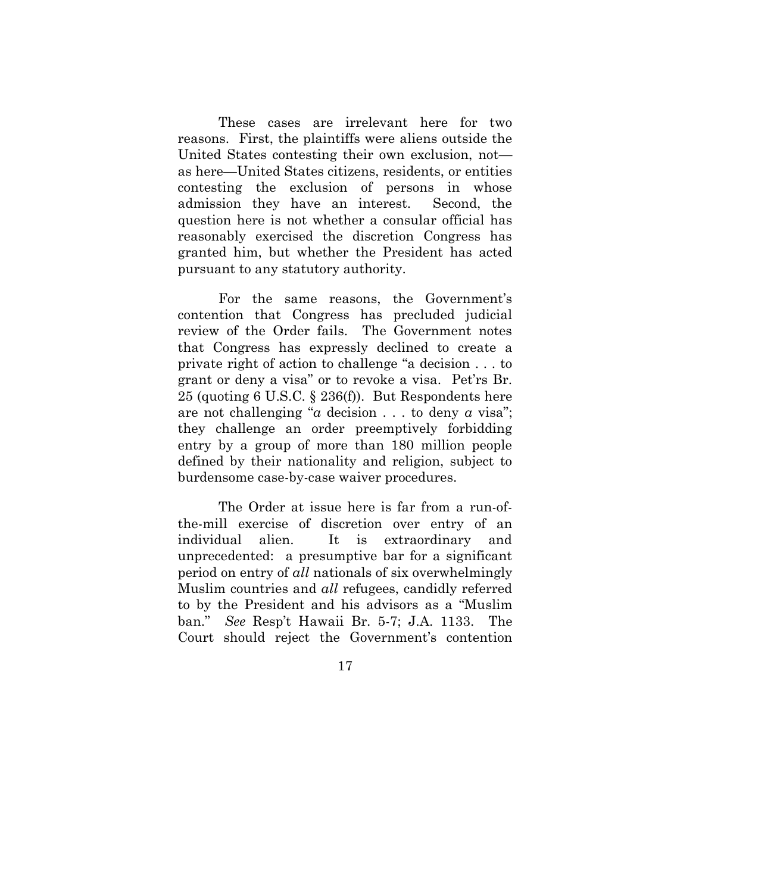These cases are irrelevant here for two reasons. First, the plaintiffs were aliens outside the United States contesting their own exclusion, not as here—United States citizens, residents, or entities contesting the exclusion of persons in whose admission they have an interest. Second, the question here is not whether a consular official has reasonably exercised the discretion Congress has granted him, but whether the President has acted pursuant to any statutory authority.

For the same reasons, the Government's contention that Congress has precluded judicial review of the Order fails. The Government notes that Congress has expressly declined to create a private right of action to challenge "a decision . . . to grant or deny a visa" or to revoke a visa. Pet'rs Br. 25 (quoting 6 U.S.C. § 236(f)). But Respondents here are not challenging "*a* decision . . . to deny *a* visa"; they challenge an order preemptively forbidding entry by a group of more than 180 million people defined by their nationality and religion, subject to burdensome case-by-case waiver procedures.

The Order at issue here is far from a run-ofthe-mill exercise of discretion over entry of an individual alien. It is extraordinary and unprecedented: a presumptive bar for a significant period on entry of *all* nationals of six overwhelmingly Muslim countries and *all* refugees, candidly referred to by the President and his advisors as a "Muslim ban." *See* Resp't Hawaii Br. 5-7; J.A. 1133. The Court should reject the Government's contention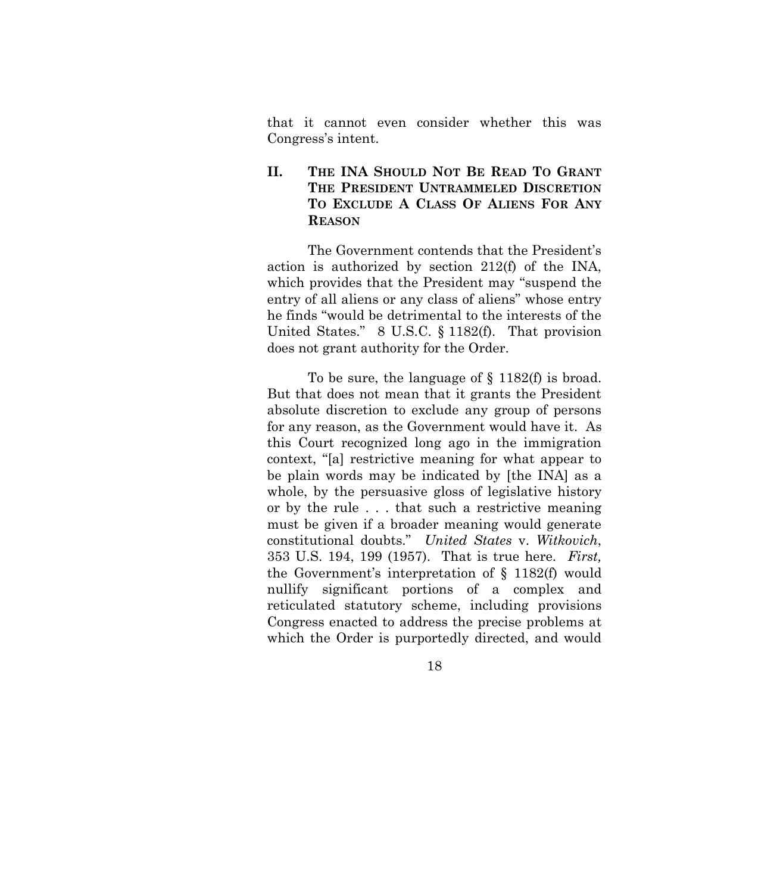that it cannot even consider whether this was Congress's intent.

## <span id="page-26-0"></span>**II. THE INA SHOULD NOT BE READ TO GRANT THE PRESIDENT UNTRAMMELED DISCRETION TO EXCLUDE A CLASS OF ALIENS FOR ANY REASON**

The Government contends that the President's action is authorized by section 212(f) of the INA, which provides that the President may "suspend the entry of all aliens or any class of aliens" whose entry he finds "would be detrimental to the interests of the United States." 8 U.S.C. § 1182(f). That provision does not grant authority for the Order.

<span id="page-26-1"></span>To be sure, the language of § 1182(f) is broad. But that does not mean that it grants the President absolute discretion to exclude any group of persons for any reason, as the Government would have it. As this Court recognized long ago in the immigration context, "[a] restrictive meaning for what appear to be plain words may be indicated by [the INA] as a whole, by the persuasive gloss of legislative history or by the rule . . . that such a restrictive meaning must be given if a broader meaning would generate constitutional doubts." *United States* v. *Witkovich*, 353 U.S. 194, 199 (1957). That is true here. *First,*  the Government's interpretation of § 1182(f) would nullify significant portions of a complex and reticulated statutory scheme, including provisions Congress enacted to address the precise problems at which the Order is purportedly directed, and would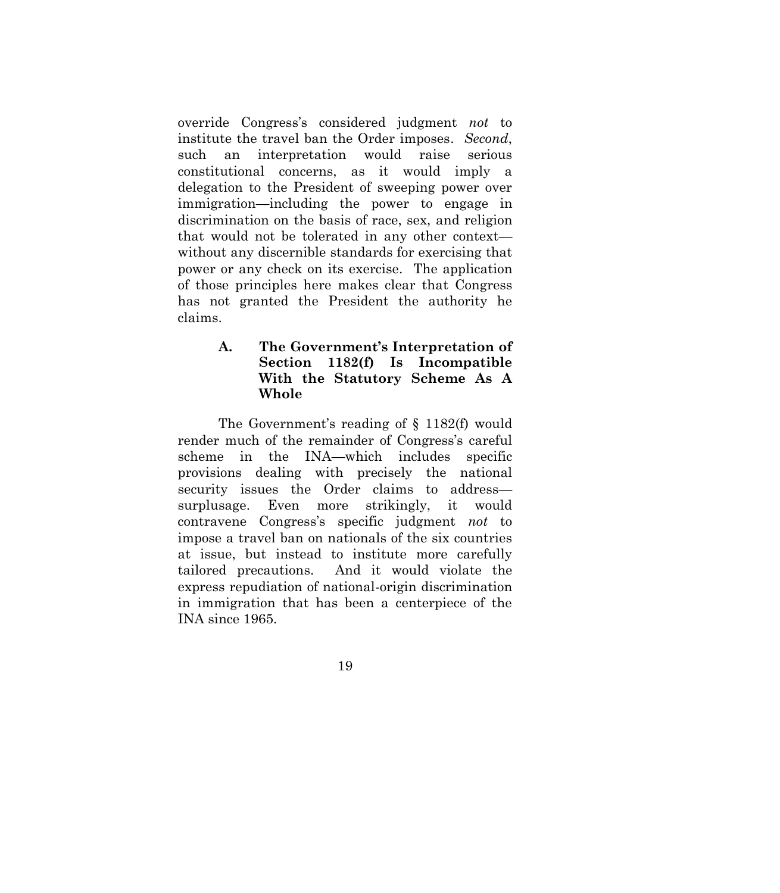override Congress's considered judgment *not* to institute the travel ban the Order imposes. *Second*, such an interpretation would raise serious constitutional concerns, as it would imply a delegation to the President of sweeping power over immigration—including the power to engage in discrimination on the basis of race, sex, and religion that would not be tolerated in any other context without any discernible standards for exercising that power or any check on its exercise. The application of those principles here makes clear that Congress has not granted the President the authority he claims.

## <span id="page-27-0"></span>**A. The Government's Interpretation of Section 1182(f) Is Incompatible With the Statutory Scheme As A Whole**

The Government's reading of § 1182(f) would render much of the remainder of Congress's careful scheme in the INA—which includes specific provisions dealing with precisely the national security issues the Order claims to address surplusage. Even more strikingly, it would contravene Congress's specific judgment *not* to impose a travel ban on nationals of the six countries at issue, but instead to institute more carefully tailored precautions. And it would violate the express repudiation of national-origin discrimination in immigration that has been a centerpiece of the INA since 1965.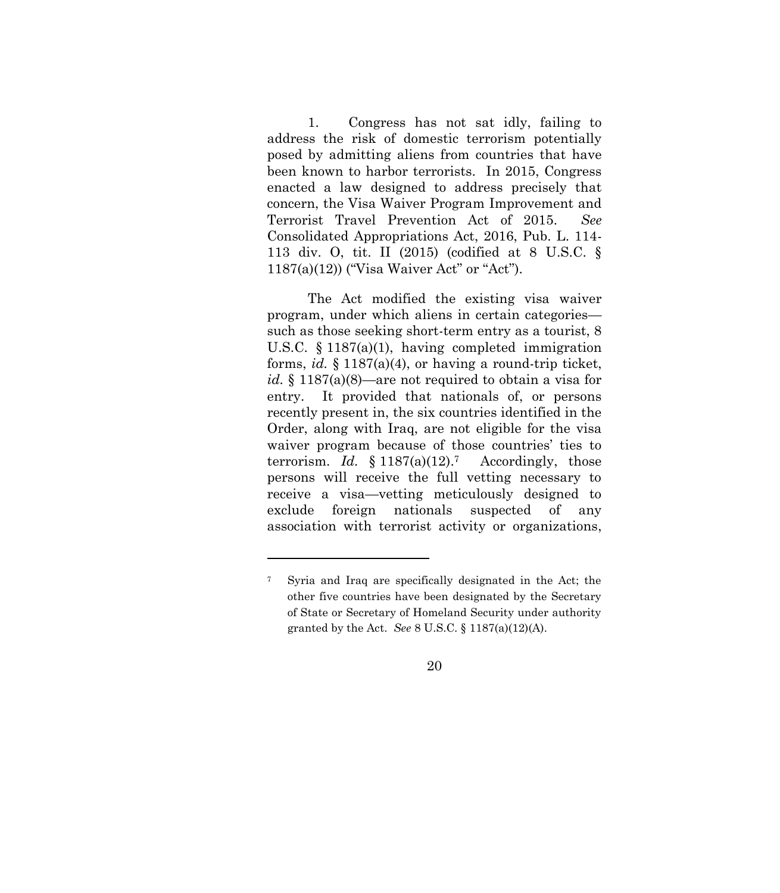<span id="page-28-2"></span>1. Congress has not sat idly, failing to address the risk of domestic terrorism potentially posed by admitting aliens from countries that have been known to harbor terrorists. In 2015, Congress enacted a law designed to address precisely that concern, the Visa Waiver Program Improvement and Terrorist Travel Prevention Act of 2015. *See*  Consolidated Appropriations Act, 2016, Pub. L. 114- 113 div. O, tit. II (2015) (codified at 8 U.S.C. § 1187(a)(12)) ("Visa Waiver Act" or "Act").

<span id="page-28-0"></span>The Act modified the existing visa waiver program, under which aliens in certain categories such as those seeking short-term entry as a tourist, 8 U.S.C. § 1187(a)(1), having completed immigration forms, *id.* § 1187(a)(4), or having a round-trip ticket, *id.* § 1187(a)(8)—are not required to obtain a visa for entry. It provided that nationals of, or persons recently present in, the six countries identified in the Order, along with Iraq, are not eligible for the visa waiver program because of those countries' ties to terrorism. *Id.*  $§ 1187(a)(12).7$  Accordingly, those persons will receive the full vetting necessary to receive a visa—vetting meticulously designed to exclude foreign nationals suspected of any association with terrorist activity or organizations,

<span id="page-28-1"></span><sup>7</sup> Syria and Iraq are specifically designated in the Act; the other five countries have been designated by the Secretary of State or Secretary of Homeland Security under authority granted by the Act. *See* 8 U.S.C. § 1187(a)(12)(A).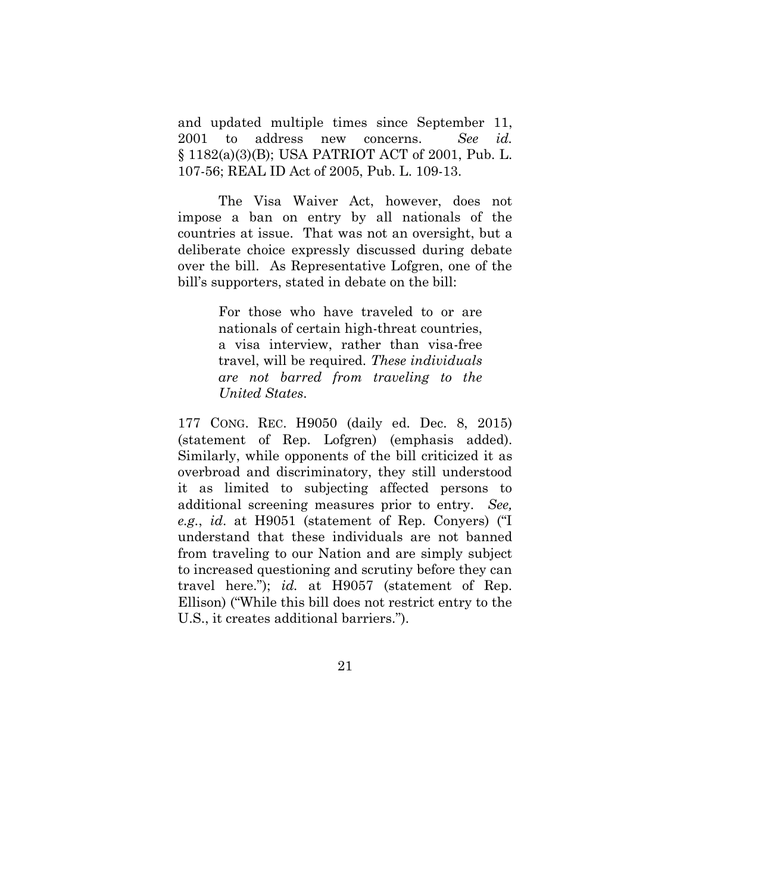and updated multiple times since September 11, 2001 to address new concerns. *See id.* § 1182(a)(3)(B); USA PATRIOT ACT of 2001, Pub. L. 107-56; REAL ID Act of 2005, Pub. L. 109-13.

<span id="page-29-0"></span>The Visa Waiver Act, however, does not impose a ban on entry by all nationals of the countries at issue. That was not an oversight, but a deliberate choice expressly discussed during debate over the bill. As Representative Lofgren, one of the bill's supporters, stated in debate on the bill:

> For those who have traveled to or are nationals of certain high-threat countries, a visa interview, rather than visa-free travel, will be required. *These individuals are not barred from traveling to the United States*.

<span id="page-29-1"></span>177 CONG. REC. H9050 (daily ed. Dec. 8, 2015) (statement of Rep. Lofgren) (emphasis added). Similarly, while opponents of the bill criticized it as overbroad and discriminatory, they still understood it as limited to subjecting affected persons to additional screening measures prior to entry. *See, e.g.*, *id*. at H9051 (statement of Rep. Conyers) ("I understand that these individuals are not banned from traveling to our Nation and are simply subject to increased questioning and scrutiny before they can travel here."); *id.* at H9057 (statement of Rep. Ellison) ("While this bill does not restrict entry to the U.S., it creates additional barriers.").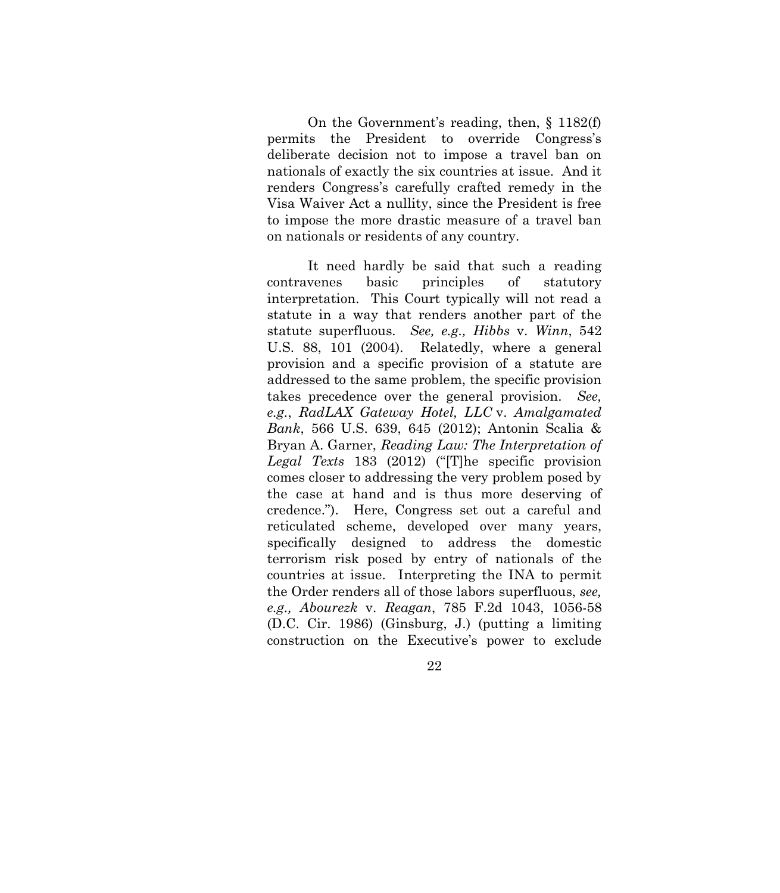On the Government's reading, then, § 1182(f) permits the President to override Congress's deliberate decision not to impose a travel ban on nationals of exactly the six countries at issue. And it renders Congress's carefully crafted remedy in the Visa Waiver Act a nullity, since the President is free to impose the more drastic measure of a travel ban on nationals or residents of any country.

<span id="page-30-4"></span><span id="page-30-3"></span><span id="page-30-2"></span><span id="page-30-1"></span><span id="page-30-0"></span>It need hardly be said that such a reading contravenes basic principles of statutory interpretation. This Court typically will not read a statute in a way that renders another part of the statute superfluous. *See, e.g., Hibbs* v. *Winn*, 542 U.S. 88, 101 (2004). Relatedly, where a general provision and a specific provision of a statute are addressed to the same problem, the specific provision takes precedence over the general provision. *See, e.g.*, *RadLAX Gateway Hotel, LLC* v. *Amalgamated Bank*, 566 U.S. 639, 645 (2012); Antonin Scalia & Bryan A. Garner, *Reading Law: The Interpretation of Legal Texts* 183 (2012) ("[T]he specific provision comes closer to addressing the very problem posed by the case at hand and is thus more deserving of credence."). Here, Congress set out a careful and reticulated scheme, developed over many years, specifically designed to address the domestic terrorism risk posed by entry of nationals of the countries at issue. Interpreting the INA to permit the Order renders all of those labors superfluous, *see, e.g., Abourezk* v. *Reagan*, 785 F.2d 1043, 1056-58 (D.C. Cir. 1986) (Ginsburg, J.) (putting a limiting construction on the Executive's power to exclude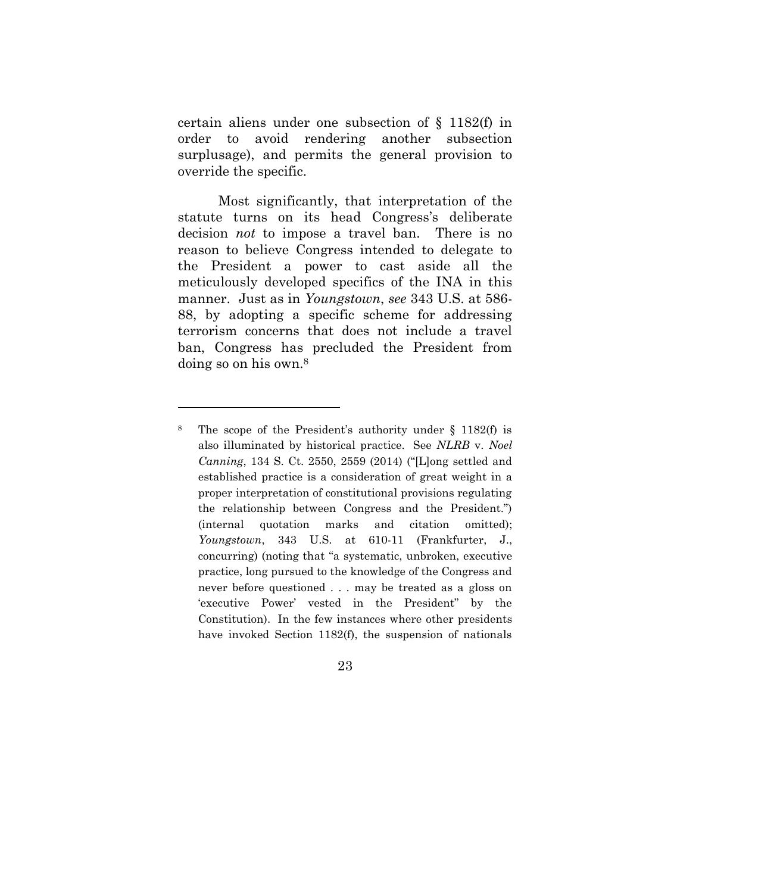certain aliens under one subsection of § 1182(f) in order to avoid rendering another subsection surplusage), and permits the general provision to override the specific.

<span id="page-31-0"></span>Most significantly, that interpretation of the statute turns on its head Congress's deliberate decision *not* to impose a travel ban. There is no reason to believe Congress intended to delegate to the President a power to cast aside all the meticulously developed specifics of the INA in this manner. Just as in *Youngstown*, *see* 343 U.S. at 586- 88, by adopting a specific scheme for addressing terrorism concerns that does not include a travel ban, Congress has precluded the President from doing so on his own.<sup>8</sup>

l

<sup>8</sup> The scope of the President's authority under § 1182(f) is also illuminated by historical practice. See *NLRB* v. *Noel Canning*, 134 S. Ct. 2550, 2559 (2014) ("[L]ong settled and established practice is a consideration of great weight in a proper interpretation of constitutional provisions regulating the relationship between Congress and the President.") (internal quotation marks and citation omitted); *Youngstown*, 343 U.S. at 610-11 (Frankfurter, J., concurring) (noting that "a systematic, unbroken, executive practice, long pursued to the knowledge of the Congress and never before questioned . . . may be treated as a gloss on 'executive Power' vested in the President" by the Constitution). In the few instances where other presidents have invoked Section 1182(f), the suspension of nationals

<sup>23</sup>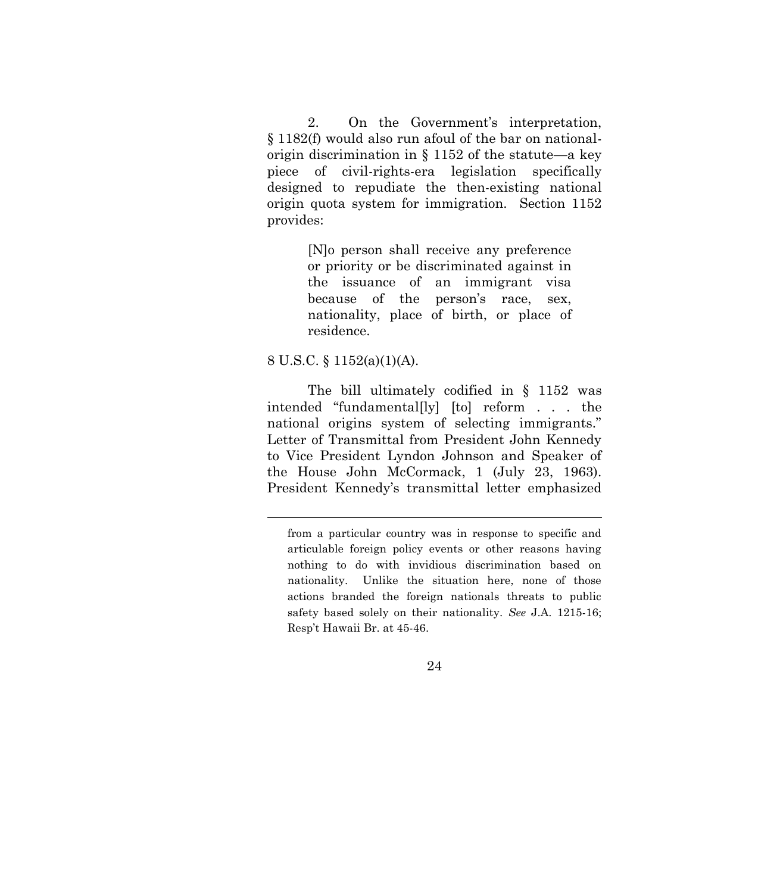2. On the Government's interpretation, § 1182(f) would also run afoul of the bar on nationalorigin discrimination in § 1152 of the statute—a key piece of civil-rights-era legislation specifically designed to repudiate the then-existing national origin quota system for immigration. Section 1152 provides:

> [N]o person shall receive any preference or priority or be discriminated against in the issuance of an immigrant visa because of the person's race, sex, nationality, place of birth, or place of residence.

#### <span id="page-32-0"></span>8 U.S.C. § 1152(a)(1)(A).

<span id="page-32-1"></span>The bill ultimately codified in § 1152 was intended "fundamental[ly] [to] reform . . . the national origins system of selecting immigrants." Letter of Transmittal from President John Kennedy to Vice President Lyndon Johnson and Speaker of the House John McCormack, 1 (July 23, 1963). President Kennedy's transmittal letter emphasized

from a particular country was in response to specific and articulable foreign policy events or other reasons having nothing to do with invidious discrimination based on nationality. Unlike the situation here, none of those actions branded the foreign nationals threats to public safety based solely on their nationality. *See* J.A. 1215-16; Resp't Hawaii Br. at 45-46.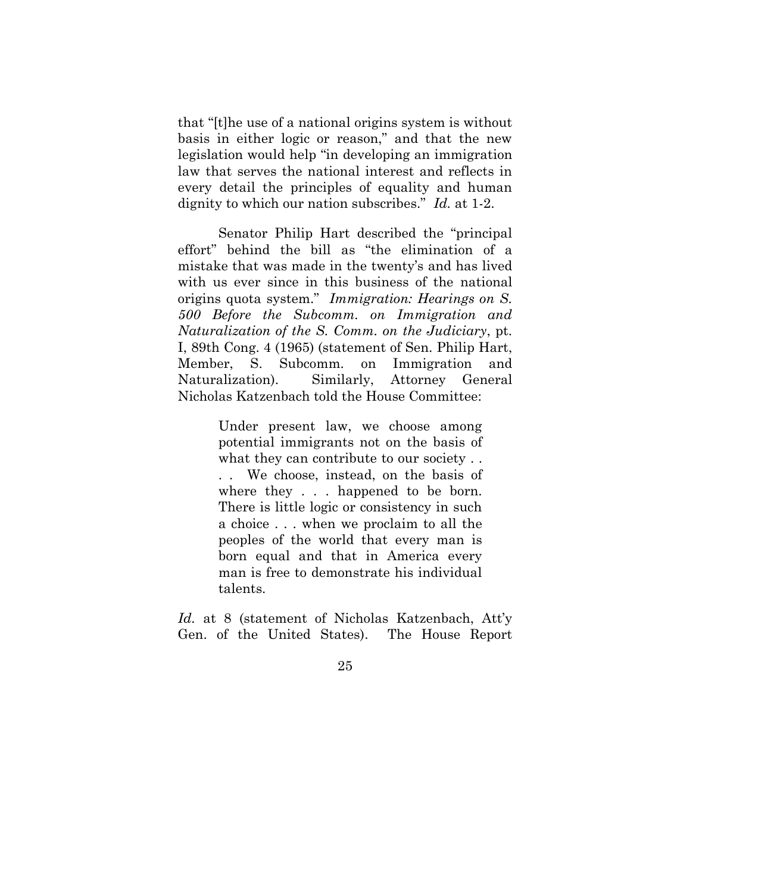that "[t]he use of a national origins system is without basis in either logic or reason," and that the new legislation would help "in developing an immigration law that serves the national interest and reflects in every detail the principles of equality and human dignity to which our nation subscribes." *Id.* at 1-2.

<span id="page-33-0"></span>Senator Philip Hart described the "principal effort" behind the bill as "the elimination of a mistake that was made in the twenty's and has lived with us ever since in this business of the national origins quota system." *Immigration: Hearings on S. 500 Before the Subcomm. on Immigration and Naturalization of the S. Comm. on the Judiciary*, pt. I, 89th Cong. 4 (1965) (statement of Sen. Philip Hart, Member, S. Subcomm. on Immigration and Naturalization). Similarly, Attorney General Nicholas Katzenbach told the House Committee:

> Under present law, we choose among potential immigrants not on the basis of what they can contribute to our society... . . We choose, instead, on the basis of where they . . . happened to be born. There is little logic or consistency in such a choice . . . when we proclaim to all the peoples of the world that every man is born equal and that in America every man is free to demonstrate his individual talents.

*Id.* at 8 (statement of Nicholas Katzenbach, Att'y Gen. of the United States). The House Report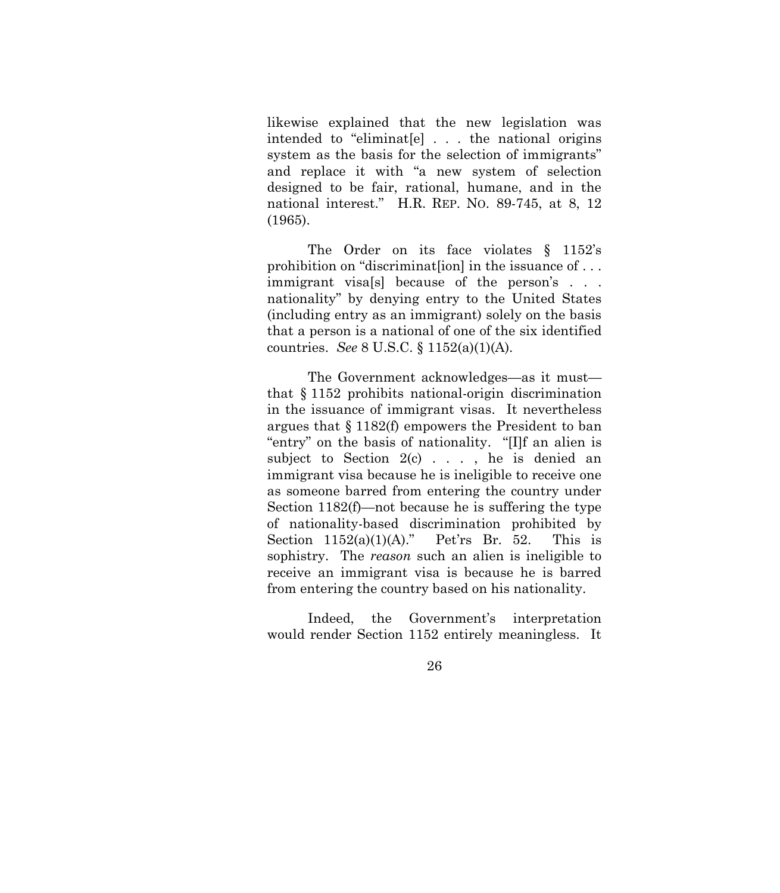likewise explained that the new legislation was intended to "eliminat[e] . . . the national origins system as the basis for the selection of immigrants" and replace it with "a new system of selection designed to be fair, rational, humane, and in the national interest." H.R. REP. NO. 89-745, at 8, 12 (1965).

<span id="page-34-1"></span>The Order on its face violates § 1152's prohibition on "discriminat[ion] in the issuance of . . . immigrant visa[s] because of the person's . . . nationality" by denying entry to the United States (including entry as an immigrant) solely on the basis that a person is a national of one of the six identified countries. *See* 8 U.S.C. § 1152(a)(1)(A).

<span id="page-34-0"></span>The Government acknowledges—as it must that § 1152 prohibits national-origin discrimination in the issuance of immigrant visas. It nevertheless argues that § 1182(f) empowers the President to ban "entry" on the basis of nationality. "[I]f an alien is subject to Section  $2(c)$ ..., he is denied an immigrant visa because he is ineligible to receive one as someone barred from entering the country under Section 1182(f)—not because he is suffering the type of nationality-based discrimination prohibited by Section  $1152(a)(1)(A)$ ." Pet'rs Br. 52. This is sophistry. The *reason* such an alien is ineligible to receive an immigrant visa is because he is barred from entering the country based on his nationality.

Indeed, the Government's interpretation would render Section 1152 entirely meaningless. It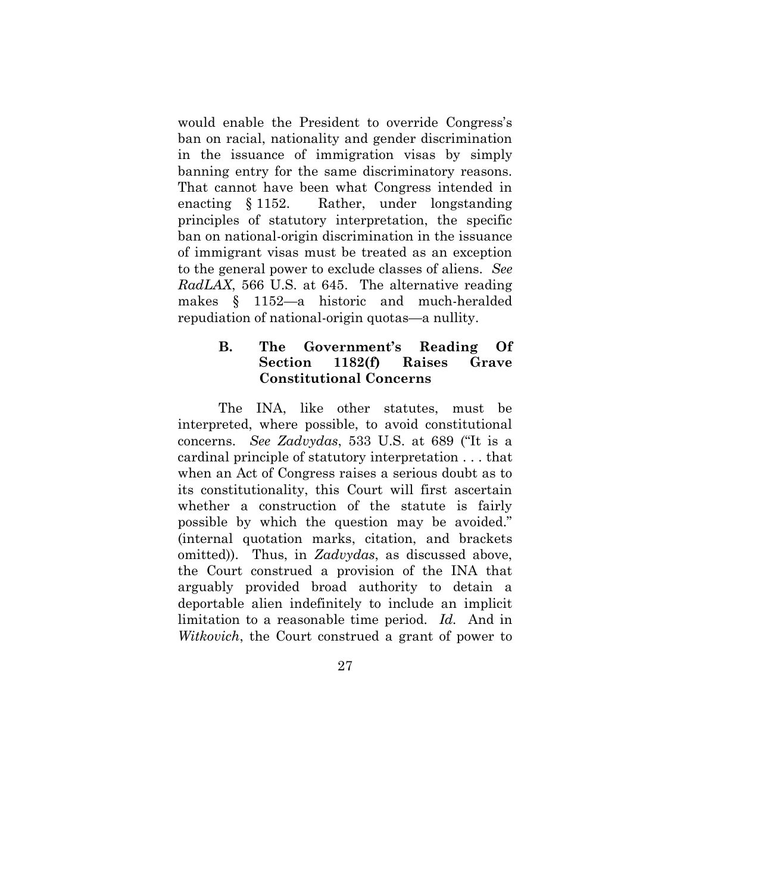would enable the President to override Congress's ban on racial, nationality and gender discrimination in the issuance of immigration visas by simply banning entry for the same discriminatory reasons. That cannot have been what Congress intended in enacting § 1152. Rather, under longstanding principles of statutory interpretation, the specific ban on national-origin discrimination in the issuance of immigrant visas must be treated as an exception to the general power to exclude classes of aliens. *See RadLAX*, 566 U.S. at 645. The alternative reading makes § 1152—a historic and much-heralded repudiation of national-origin quotas—a nullity.

### <span id="page-35-1"></span><span id="page-35-0"></span>**B. The Government's Reading Of Section 1182(f) Raises Grave Constitutional Concerns**

<span id="page-35-2"></span>The INA, like other statutes, must be interpreted, where possible, to avoid constitutional concerns. *See Zadvydas*, 533 U.S. at 689 ("It is a cardinal principle of statutory interpretation . . . that when an Act of Congress raises a serious doubt as to its constitutionality, this Court will first ascertain whether a construction of the statute is fairly possible by which the question may be avoided." (internal quotation marks, citation, and brackets omitted)). Thus, in *Zadvydas*, as discussed above, the Court construed a provision of the INA that arguably provided broad authority to detain a deportable alien indefinitely to include an implicit limitation to a reasonable time period. *Id.* And in *Witkovich*, the Court construed a grant of power to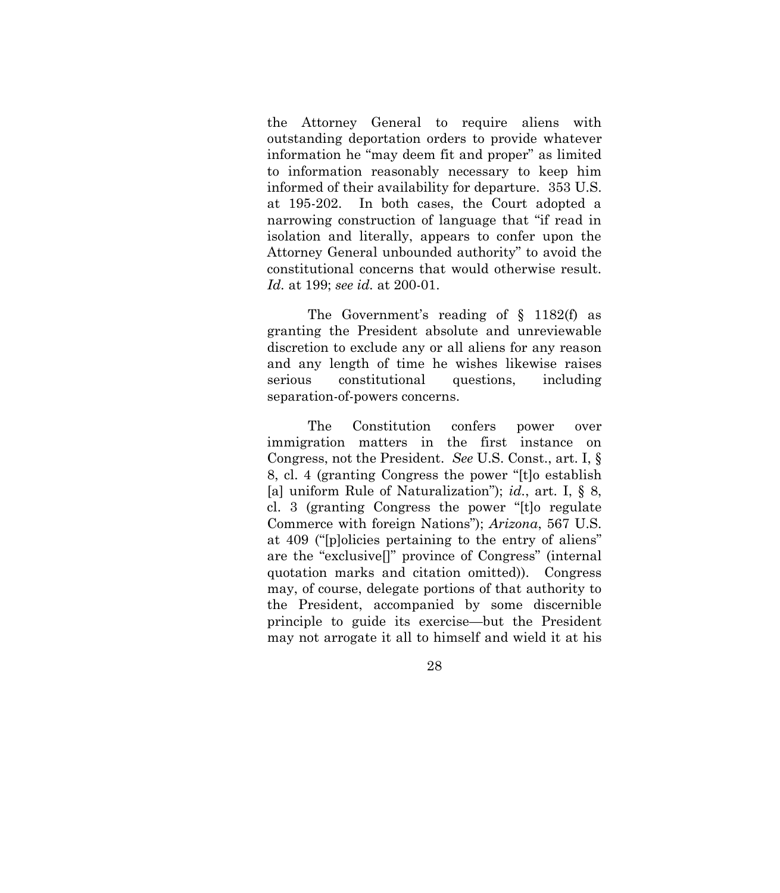<span id="page-36-1"></span>the Attorney General to require aliens with outstanding deportation orders to provide whatever information he "may deem fit and proper" as limited to information reasonably necessary to keep him informed of their availability for departure. 353 U.S. at 195-202. In both cases, the Court adopted a narrowing construction of language that "if read in isolation and literally, appears to confer upon the Attorney General unbounded authority" to avoid the constitutional concerns that would otherwise result. *Id.* at 199; *see id.* at 200-01.

The Government's reading of § 1182(f) as granting the President absolute and unreviewable discretion to exclude any or all aliens for any reason and any length of time he wishes likewise raises serious constitutional questions, including separation-of-powers concerns.

<span id="page-36-0"></span>The Constitution confers power over immigration matters in the first instance on Congress, not the President. *See* U.S. Const., art. I, § 8, cl. 4 (granting Congress the power "[t]o establish [a] uniform Rule of Naturalization"); *id.*, art. I, § 8, cl. 3 (granting Congress the power "[t]o regulate Commerce with foreign Nations"); *Arizona*, 567 U.S. at 409 ("[p]olicies pertaining to the entry of aliens" are the "exclusive[]" province of Congress" (internal quotation marks and citation omitted)). Congress may, of course, delegate portions of that authority to the President, accompanied by some discernible principle to guide its exercise—but the President may not arrogate it all to himself and wield it at his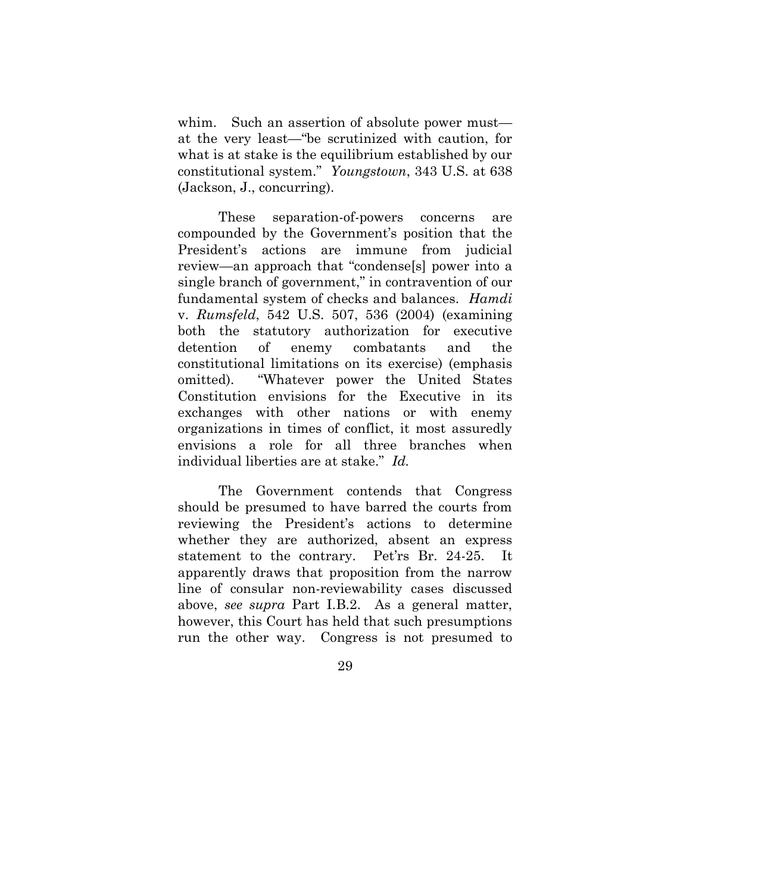<span id="page-37-1"></span>whim. Such an assertion of absolute power must at the very least—"be scrutinized with caution, for what is at stake is the equilibrium established by our constitutional system." *Youngstown*, 343 U.S. at 638 (Jackson, J., concurring).

<span id="page-37-0"></span>These separation-of-powers concerns are compounded by the Government's position that the President's actions are immune from judicial review—an approach that "condense[s] power into a single branch of government," in contravention of our fundamental system of checks and balances. *Hamdi*  v. *Rumsfeld*, 542 U.S. 507, 536 (2004) (examining both the statutory authorization for executive detention of enemy combatants and the constitutional limitations on its exercise) (emphasis omitted). "Whatever power the United States Constitution envisions for the Executive in its exchanges with other nations or with enemy organizations in times of conflict, it most assuredly envisions a role for all three branches when individual liberties are at stake." *Id.*

The Government contends that Congress should be presumed to have barred the courts from reviewing the President's actions to determine whether they are authorized, absent an express statement to the contrary. Pet'rs Br. 24-25. It apparently draws that proposition from the narrow line of consular non-reviewability cases discussed above, *see supra* Part I.B.2. As a general matter, however, this Court has held that such presumptions run the other way. Congress is not presumed to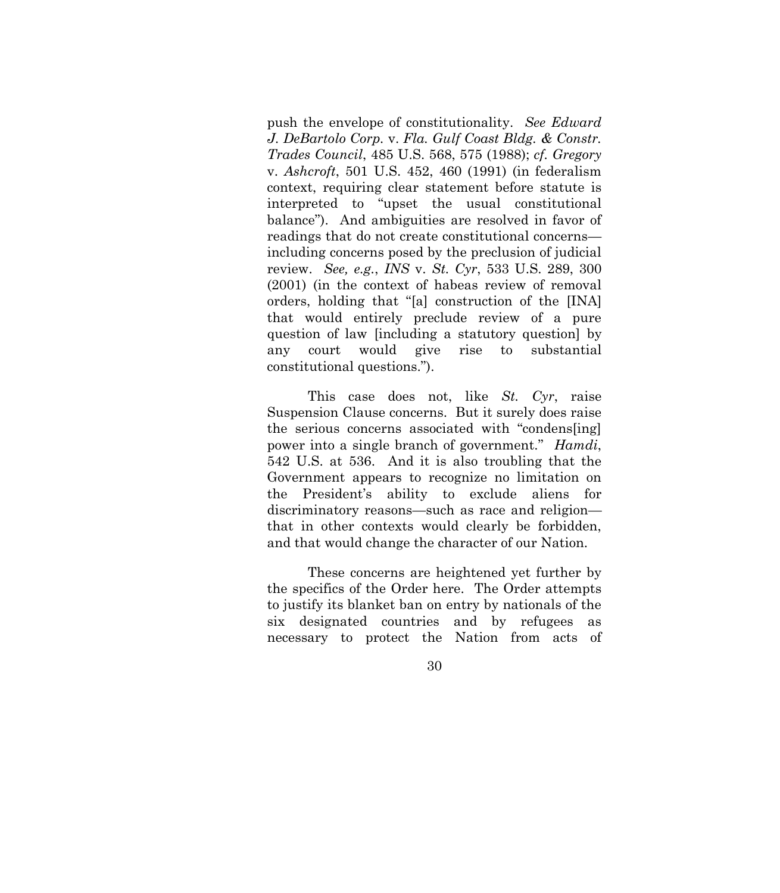<span id="page-38-1"></span><span id="page-38-0"></span>push the envelope of constitutionality. *See Edward J. DeBartolo Corp.* v. *Fla. Gulf Coast Bldg. & Constr. Trades Council*, 485 U.S. 568, 575 (1988); *cf. Gregory*  v. *Ashcroft*, 501 U.S. 452, 460 (1991) (in federalism context, requiring clear statement before statute is interpreted to "upset the usual constitutional balance"). And ambiguities are resolved in favor of readings that do not create constitutional concerns including concerns posed by the preclusion of judicial review. *See, e.g.*, *INS* v. *St. Cyr*, 533 U.S. 289, 300 (2001) (in the context of habeas review of removal orders, holding that "[a] construction of the [INA] that would entirely preclude review of a pure question of law [including a statutory question] by any court would give rise to substantial constitutional questions.").

<span id="page-38-3"></span><span id="page-38-2"></span>This case does not, like *St. Cyr*, raise Suspension Clause concerns. But it surely does raise the serious concerns associated with "condens[ing] power into a single branch of government." *Hamdi*, 542 U.S. at 536. And it is also troubling that the Government appears to recognize no limitation on the President's ability to exclude aliens for discriminatory reasons—such as race and religion that in other contexts would clearly be forbidden, and that would change the character of our Nation.

These concerns are heightened yet further by the specifics of the Order here. The Order attempts to justify its blanket ban on entry by nationals of the six designated countries and by refugees necessary to protect the Nation from acts of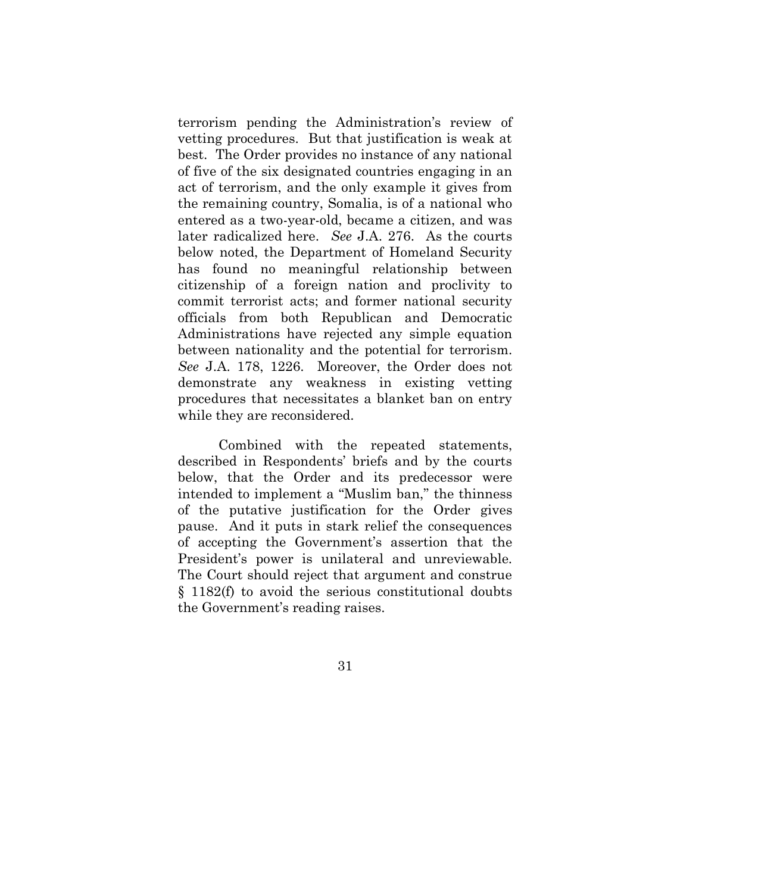terrorism pending the Administration's review of vetting procedures. But that justification is weak at best. The Order provides no instance of any national of five of the six designated countries engaging in an act of terrorism, and the only example it gives from the remaining country, Somalia, is of a national who entered as a two-year-old, became a citizen, and was later radicalized here. *See* J.A. 276. As the courts below noted, the Department of Homeland Security has found no meaningful relationship between citizenship of a foreign nation and proclivity to commit terrorist acts; and former national security officials from both Republican and Democratic Administrations have rejected any simple equation between nationality and the potential for terrorism. *See* J.A. 178, 1226. Moreover, the Order does not demonstrate any weakness in existing vetting procedures that necessitates a blanket ban on entry while they are reconsidered.

Combined with the repeated statements, described in Respondents' briefs and by the courts below, that the Order and its predecessor were intended to implement a "Muslim ban," the thinness of the putative justification for the Order gives pause. And it puts in stark relief the consequences of accepting the Government's assertion that the President's power is unilateral and unreviewable. The Court should reject that argument and construe § 1182(f) to avoid the serious constitutional doubts the Government's reading raises.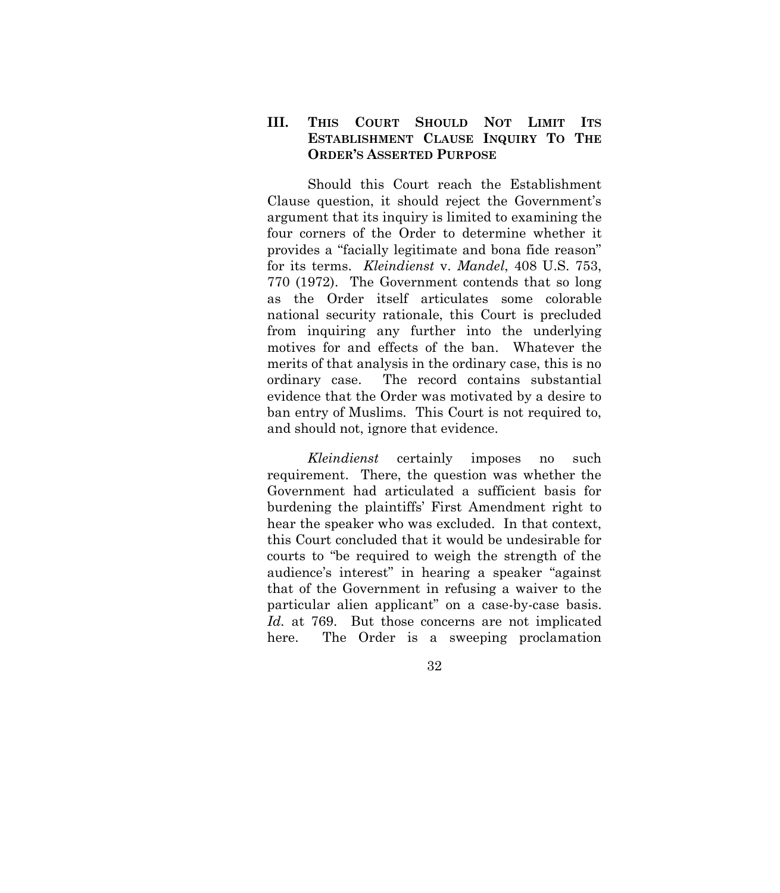## <span id="page-40-0"></span>**III. THIS COURT SHOULD NOT LIMIT ITS ESTABLISHMENT CLAUSE INQUIRY TO THE ORDER'S ASSERTED PURPOSE**

<span id="page-40-1"></span>Should this Court reach the Establishment Clause question, it should reject the Government's argument that its inquiry is limited to examining the four corners of the Order to determine whether it provides a "facially legitimate and bona fide reason" for its terms. *Kleindienst* v. *Mandel*, 408 U.S. 753, 770 (1972). The Government contends that so long as the Order itself articulates some colorable national security rationale, this Court is precluded from inquiring any further into the underlying motives for and effects of the ban. Whatever the merits of that analysis in the ordinary case, this is no ordinary case. The record contains substantial evidence that the Order was motivated by a desire to ban entry of Muslims. This Court is not required to, and should not, ignore that evidence.

*Kleindienst* certainly imposes no such requirement. There, the question was whether the Government had articulated a sufficient basis for burdening the plaintiffs' First Amendment right to hear the speaker who was excluded. In that context, this Court concluded that it would be undesirable for courts to "be required to weigh the strength of the audience's interest" in hearing a speaker "against that of the Government in refusing a waiver to the particular alien applicant" on a case-by-case basis. *Id.* at 769. But those concerns are not implicated here. The Order is a sweeping proclamation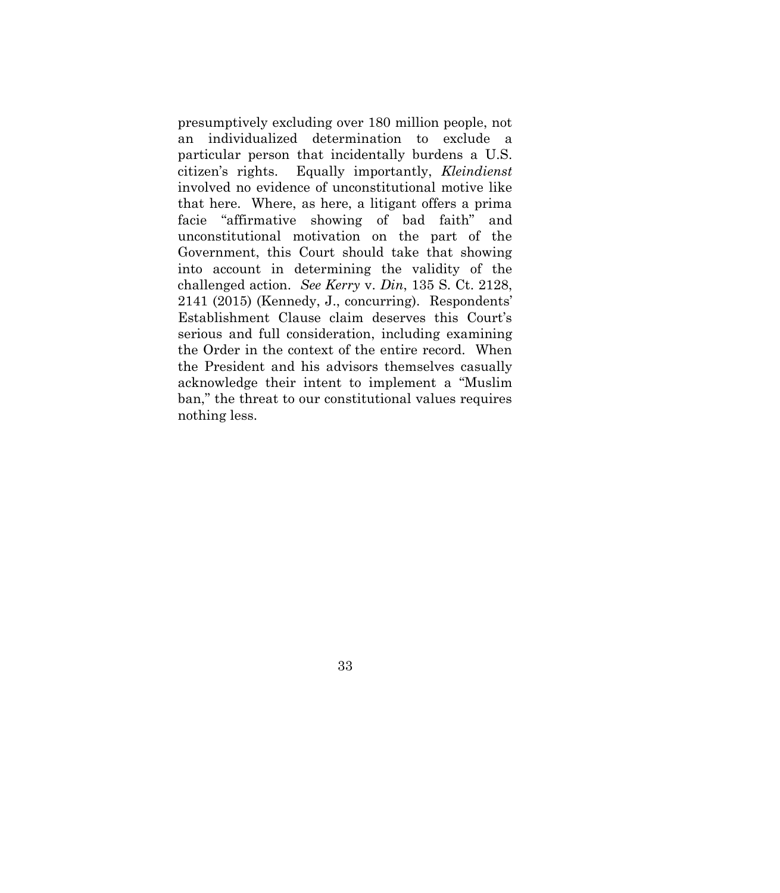<span id="page-41-0"></span>presumptively excluding over 180 million people, not an individualized determination to exclude a particular person that incidentally burdens a U.S. citizen's rights. Equally importantly, *Kleindienst* involved no evidence of unconstitutional motive like that here. Where, as here, a litigant offers a prima facie "affirmative showing of bad faith" and unconstitutional motivation on the part of the Government, this Court should take that showing into account in determining the validity of the challenged action. *See Kerry* v. *Din*, 135 S. Ct. 2128, 2141 (2015) (Kennedy, J., concurring). Respondents' Establishment Clause claim deserves this Court's serious and full consideration, including examining the Order in the context of the entire record. When the President and his advisors themselves casually acknowledge their intent to implement a "Muslim ban," the threat to our constitutional values requires nothing less.